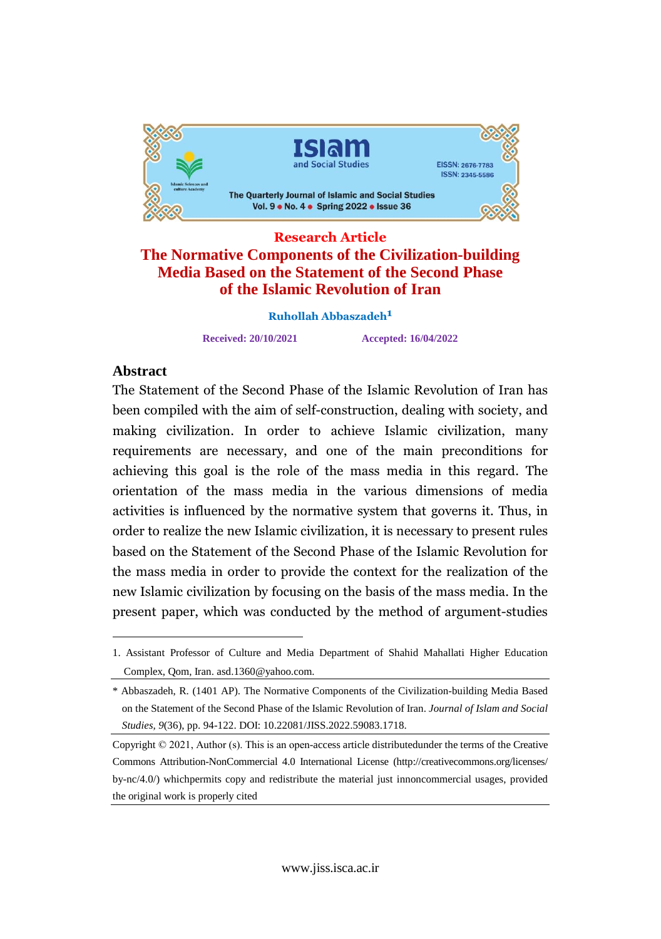

# **Research Article The Normative Components of the Civilization-building Media Based on the Statement of the Second Phase of the Islamic Revolution of Iran**

**Ruhollah Abbaszadeh**

**Received: 20/10/2021 Accepted: 16/04/2022**

# Abstract

Abstract<br>The Statement of the Second Phase of the Islamic Revolution of Iran has The statement of the second Thase of the Islamic Revolution of Iran has<br>been compiled with the aim of self-construction, dealing with society, and been complied with the ann of sen-construction, dealing with society, and<br>making civilization. In order to achieve Islamic civilization, many making civinzation. In order to achieve islamic civinzation, many<br>requirements are necessary, and one of the main preconditions for requirements are necessary, and one or the main preconditions for<br>achieving this goal is the role of the mass media in this regard. The active differentiation of the mass media in the various dimensions of media activities is influenced by the normative system that governs it. Thus, in activities is inhuenced by the normalive system that governs it. Thus, in<br>order to realize the new Islamic civilization, it is necessary to present rules based on the Statement of the Second Phase of the Islamic Revolution for based on the statement of the second Thase of the Islamic Revolution for<br>the mass media in order to provide the context for the realization of the Islamic civilization by focusing on the basis of the mass media. In the new Islamic civilization by focusing on the basis of the mass media. In the present paper, which was conducted by the method of argument-studies

<sup>1.</sup> Assistant Professor of Culture and Media Department of Shahid Mahallati Higher Education Complex, Qom, Iran. [asd.1360@yahoo.com.](mailto:asd.1360@yahoo.com.)

<sup>\*</sup> Abbaszadeh, R. (1401 AP). The Normative Components of the Civilization-building Media Based on the Statement of the Second Phase of the Islamic Revolution of Iran. *Journal of Islam and Social Studies, 9*(36), pp. 94-122. DOI: 10.22081/JISS.2022.59083.1718.

Copyright © 2021, Author (s). This is an open-access article distributedunder the terms of the Creative Commons Attribution-NonCommercial 4.0 International License (http://creativecommons.org/licenses/ by-nc/4.0/) whichpermits copy and redistribute the material just innoncommercial usages, provided the original work is properly cited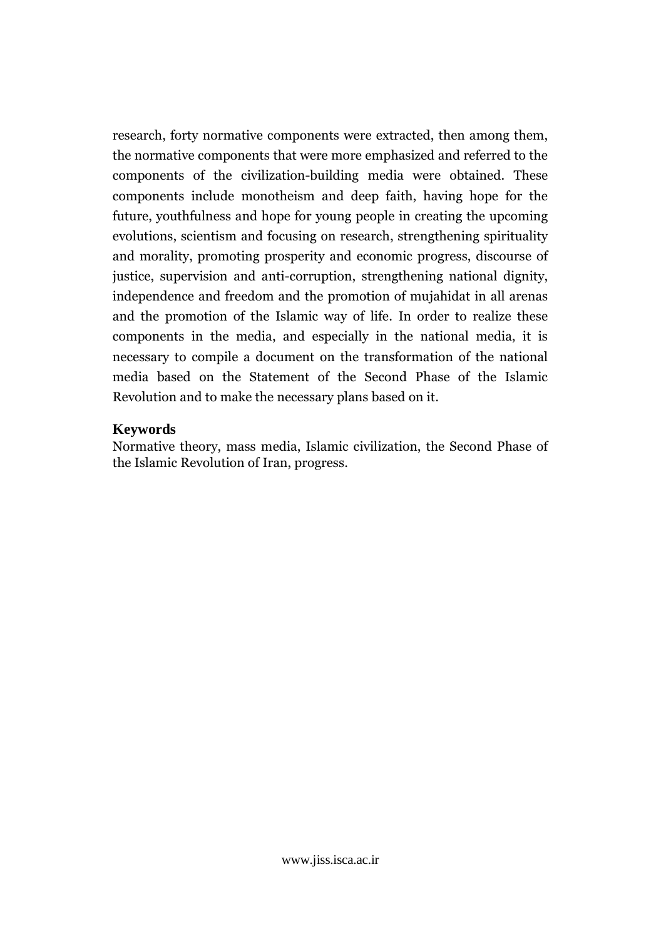research, forty normative components were extracted, then among them, research, forty hormative components were extracted, then among them,<br>the normative components that were more emphasized and referred to the the normalive components that were more emphasized and referred to the components of the civilization-building media were obtained. These components of the civinzation-bunding fields were obtained. These<br>components include monotheism and deep faith, having hope for the components include monothessin and deep rath, having hope for the<br>future, youthfulness and hope for young people in creating the upcoming rature, yournamess and nope for young people in creating the upcoming<br>evolutions, scientism and focusing on research, strengthening spirituality evolutions, scientism and focusing on research, strengthening spiritually<br>and morality, promoting prosperity and economic progress, discourse of justice, supervision and anti-corruption, strengthening national dignity, distict, supervision and anti-corruption, strengthening national diginty, independence and freedom and the promotion of mujahidat in all arenas Independence and reedom and the promotion of mujamdat in an arenas<br>and the promotion of the Islamic way of life. In order to realize these and the promotion of the islamic way of the. In order to realize these<br>components in the media, and especially in the national media, it is components in the media, and especially in the national media, it is<br>necessary to compile a document on the transformation of the national media based on the Statement of the Second Phase of the Islamic Revolution and to make the necessary plans based on it.

#### $\mathbf{R}$ Keywords

Keywords<br>Normative theory, mass media, Islamic civilization, the Second Phase of the Islamic Revolution of Iran, progress.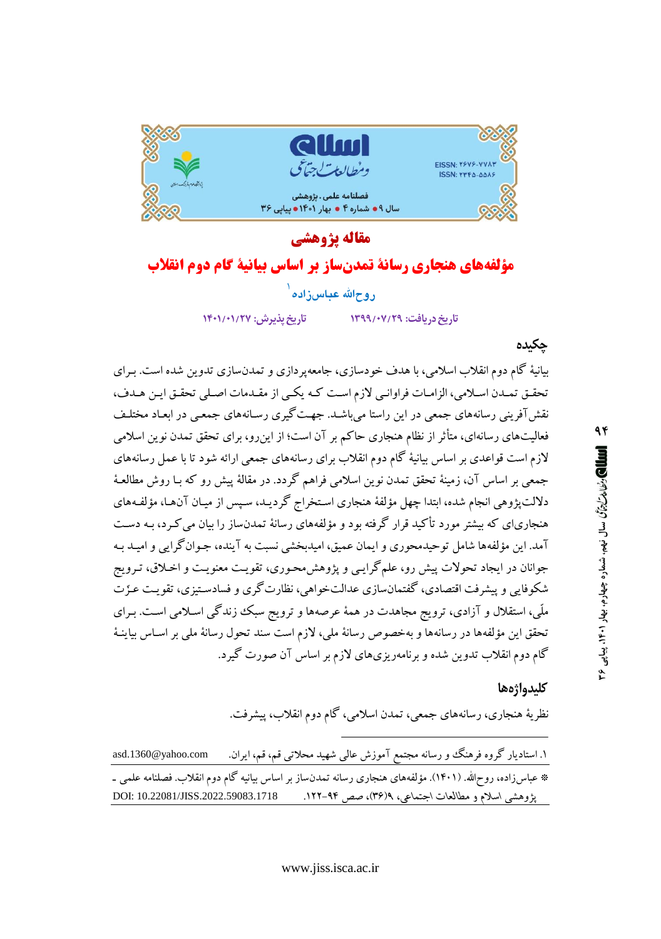

# مقاله يژوهشي مؤلفههاي هنجاري رسانة تمدنساز بر اساس بيانية كام دوم انقلاب

روحالله عباس;اده ْ

تاريخ پذيرش: ١٣٠١/٢٧

تاریخ دریافت: ۱۳۹۹/۰۷/۲۹

جكىدە

بیانیهٔ گام دوم انقلاب اسلامی، با هدف خودسازی، جامعه یردازی و تمدنسازی تدوین شده است. بـرای تحقیق تمدن اسلامی، الزامات فراوانبی لازم است کـه یکـی از مقـدمات اصـلی تحقـق ایـن هـدف، .<br>نقش آفرینی رسانههای جمعی در این راستا می باشـد. جهـت گیری رسـانههای جمعـی در ابعـاد مختلـف .<br>فعالیتهای رسانهای، متأثر از نظام هنجاری حاکم بر آن است؛ از این رو، برای تحقق تمدن نوین اسلامی لازم است قواعدی بر اساس بیانیهٔ گام دوم انقلاب برای رسانههای جمعی ارائه شود تا با عمل رسانههای جمعی بر اساس آن، زمینهٔ تحقق تمدن نوین اسلامی فراهم گردد. در مقالهٔ پیش رو که بـا روش مطالعـهٔ دلالت یژوهی انجام شده، ابتدا چهل مؤلفهٔ هنجاری استخراج گردیـد، سـیس از میـان آنهـا، مؤلفـههای هنجاریای که بیشتر مورد تأکید قرار گرفته بود و مؤلفههای رسانهٔ تمدنساز را بیان می کـرد، بـه دسـت آمد. این مؤلفهها شامل توحیدمحوری و ایمان عمیق، امیدبخشی نسبت به آینده، جـوان گرایی و امیـد بـه جوانان در ایجاد تحولات پیش رو، علمگرایبی و پژوهش محبوری، تقویت معنویت و اخـلاق، تـرویج شکوفایی و پیشرفت اقتصادی، گفتمانسازی عدالتخواهی، نظارت گری و فسادستیزی، تقویت عزّت ملّی، استقلال و آزادی، ترویج مجاهدت در همهٔ عرصهها و ترویج سبک زندگی اسـلامی اسـت. بـرای تحقق این مؤلفهها در رسانهها و بهخصوص رسانهٔ ملی، لازم است سند تحول رسانهٔ ملی بر اسـاس بیاینـهٔ گام دوم انقلاب تدوین شده و برنامهریزیهای لازم بر اساس آن صورت گیرد.

#### كلىدواژەها

نظریهٔ هنجاری، رسانههای جمعی، تمدن اسلامی، گام دوم انقلاب، پیشرفت.

۱. استادیار گروه فرهنگ و رسانه مجتمع آموزش عالیی شهید محلاتی قم، قم، ایران. asd.1360@yahoo.com \* عباس(اده، روحالله. (۱۴۰۱). مؤلفههای هنجاری رسانه تمدنساز بر اساس بیانیه گام دوم انقلاب. فصلنامه علمی ـ DOI: 10.22081/JISS.2022.59083.1718 پژوهشی اسلام و مطالعات اجتماعی، ۹(۳۴)، صص ۹۴–۱۲۲.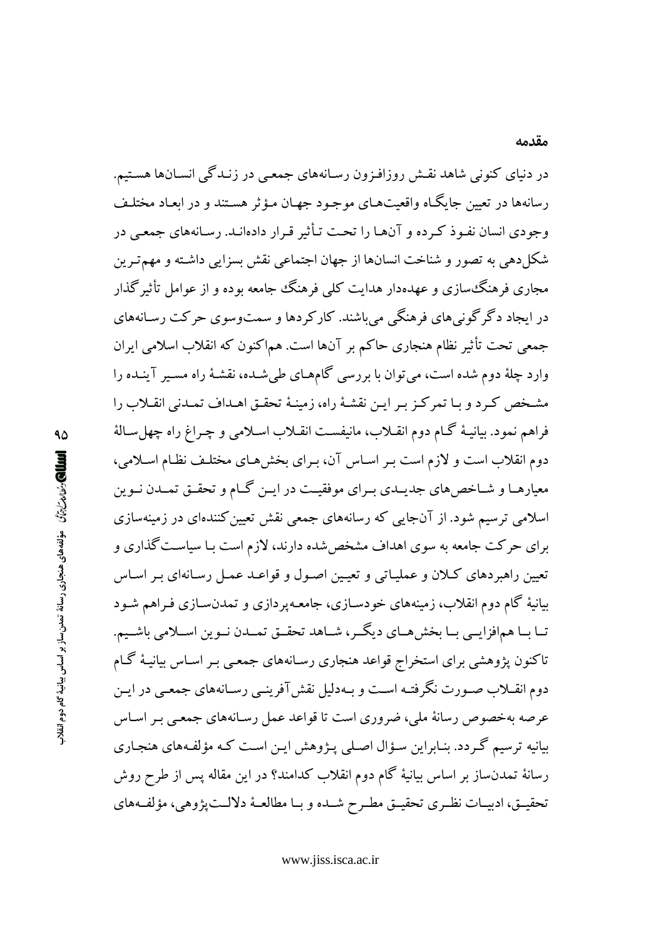در دنیای کنونی شاهد نقـش روزافـزون رسـانههای جمعـی در زنـدگی انسـانها هسـتیم. رسانهها در تعیین جایگـاه واقعیتهـای موجـود جهـان مـؤثر هسـتند و در ابعـاد مختلـف وجودی انسان نفـوذ کـرده و آنهـا را تحـت تـأثیر قـرار دادهانـد. رسـانههای جمعـی در شکل دهی به تصور و شناخت انسانها از جهان اجتماعی نقش بسزایی داشته و مهم تـرین مجاری فرهنگ سازی و عهدهدار هدایت کلمی فرهنگ جامعه بوده و از عوامل تأثیر گذار در ايجاد دگر گوني هاي فرهنگي مي باشند. کارکردها و سمتوسوي حرکت رسـانههاي جمعی تحت تأثیر نظام هنجاری حاکم بر آنها است. هماکنون که انقلاب اسلامی ایران وارد چلهٔ دوم شده است، می توان با بررسی گامهـای طی شـده، نقشـهٔ راه مسـبر آینـده را مشخص کـرد و بـا تمرکـز بـر ايـن نقشـهٔ راه، زمينـهٔ تحقـق اهـداف تمـدنى انقـلاب را فراهم نمود. بیانیـهٔ گـام دوم انقـلاب، مانیفسـت انقـلاب اسـلامی و چـراغ راه چهلسـالهٔ دوم انقلاب است و لازم است بـر اسـاس آن، بـراي بخشهـاي مختلـف نظـام اسـلامي، معیارهـا و شـاخص های جدیـدی بـرای موفقیـت در ایـن گـام و تحقـق تمـدن نـوین اسلامی ترسیم شود. از آنجایی که رسانههای جمعی نقش تعیین کنندهای در زمینهسازی برای حرکت جامعه به سوی اهداف مشخص شده دارند، لازم است بـا سیاسـت گذاری و تعیین راهبردهای کـلان و عملیـاتی و تعیـین اصـول و قواعـد عمـل رسـانهای بـر اسـاس بیانیهٔ گام دوم انقلاب، زمینههای خودسـازی، جامعـهپردازی و تمدنسـازی فـراهم شـود تـا بـا همافزايــي بـا بخش هــاي ديگــر، شــاهد تحقــق تمــدن نــوين اســلامي باشــيم. تاکنون پژوهشی برای استخراج قواعد هنجاری رسـانههای جمعـی بـر اسـاس بیانیـهٔ گـام دوم انقــلاب صــورت نگرفتــه اســت و بــهدليل نقش آفرينــي رســانههاي جمعــي در ايــن عرصه بهخصوص رسانهٔ ملی، ضروری است تا قواعد عمل رسـانههای جمعـی بـر اسـاس بیانیه ترسیم گردد. بنـابراین سـؤال اصـلی پـژوهش ایـن اسـت کـه مؤلفـههای هنجـاری رسانهٔ تمدنساز بر اساس بیانیهٔ گام دوم انقلاب کدامند؟ در این مقاله پس از طرح روش تحقيــق، ادبيــات نظـري تحقيــق مطـرح شــده و بــا مطالعــهٔ دلالــت پژوهي، مؤلفــههاي

www.jiss.isca.ac.ir

#### مقدمه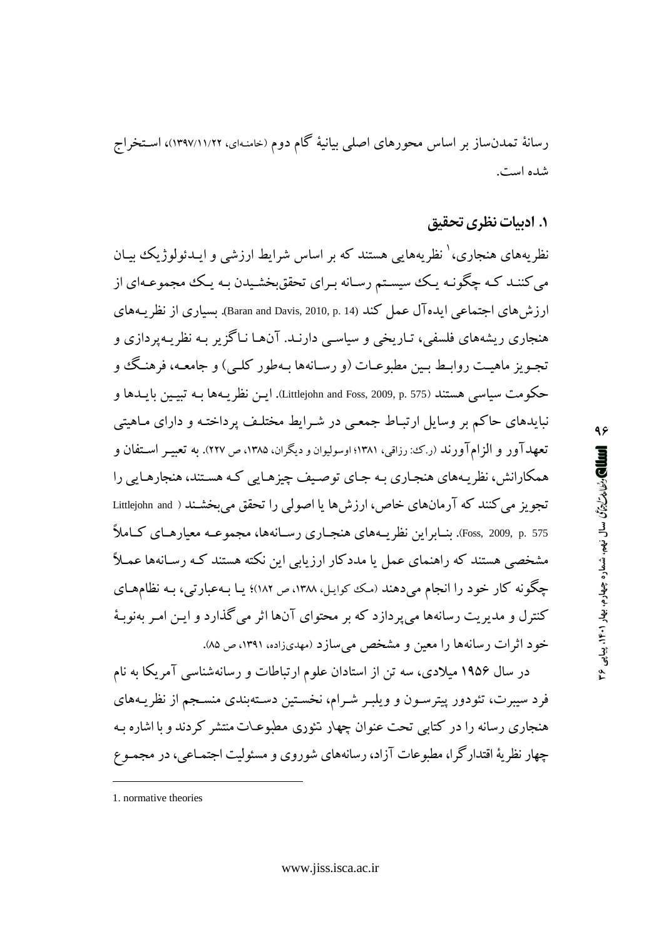رسانهٔ تمدنساز بر اساس محورهای اصلی بیانیهٔ گام دوم (خامنـهای، ۱۲۹۷/۱۱/۲۲)، اسـتخراج شده است.

# ١. اديبات نظري تحقيق

نظریههای هنجاری، ٰ نظریههایی هستند که بر اساس شرایط ارزشی و ایـدئولوژیک بیـان می کننـد کـه چگونـه يـک سيسـتم رسـانه بـراي تحققبخشـيدن بـه يـک مجموعـهاي از ارزش های اجتماعی ایده آل عمل کند (Baran and Davis, 2010, p. 14). بسیاری از نظریههای هنجاري ريشههاي فلسفي، تـاريخي و سياسـي دارنـد. آنهـا نـاگزير بـه نظريـهيردازي و تجـويز ماهيـت روابـط بـين مطبوعـات (و رسـانهها بـهطور كلـي) و جامعـه، فرهنـگ و حكومت سياسي هستند (575 .p. 575) Littlejohn and Foss, 2009, p.). ايــن نظر يــهـها بــه تبيــين بايــدها و نبایدهای حاکم بر وسایل ارتبـاط جمعـی در شـرایط مختلـف پرداختـه و دارای مـاهیتی تعهدآور و الزامآورند (ر.ک: رزاقی، ۱۳۸۱؛ اوسولیوان و دیگران، ۱۳۸۵، ص ۲۲۷). به تعبیـر اسـتفان و همکارانش، نظریههای هنجاری به جای توصیف چیزهایی کـه هستند، هنجارهـایی را تجويز مي كنند كه آرمانهاي خاص، ارزشها يا اصولي را تحقق مي بخشـند ( Littlejohn and Foss, 2009, p. 575). بنــابراين نظريــههاي هنجــاري رســانهها، مجموعــه معيارهــاي كــاملاً مشخصی هستند که راهنمای عمل یا مددکار ارزیابی این نکته هستند کـه رسـانهها عمـلاً چگونه کار خود را انجام می دهند (مک کوایل، ۱۳۸۸، ص ۱۸۲)؛ یا بهعبارتی، بـه نظامهـای کنترل و مدیریت رسانهها می پردازد که بر محتوای آنها اثر می گذارد و ایـن امـر بهنوبـهٔ خود اثرات رسانهها را معین و مشخص می سازد (مهدیزاده، ۱۳۹۱، ص ۸۵).

در سال ۱۹۵۶ میلادی، سه تن از استادان علوم ارتباطات و رسانهشناسی آمریکا به نام فرد سیبرت، تئودور پیترسـون و ویلبـر شـرام، نخسـتین دسـتهبندی منسـجم از نظریــههای هنجاری رسانه را در کتابی تحت عنوان چهار تئوری مطبوعـات منتشر کردند و با اشاره بـه چهار نظریهٔ اقتدارگرا، مطبوعات آزاد، رسانههای شوروی و مسئولیت اجتمـاعی، در مجمـوع

<sup>1.</sup> normative theories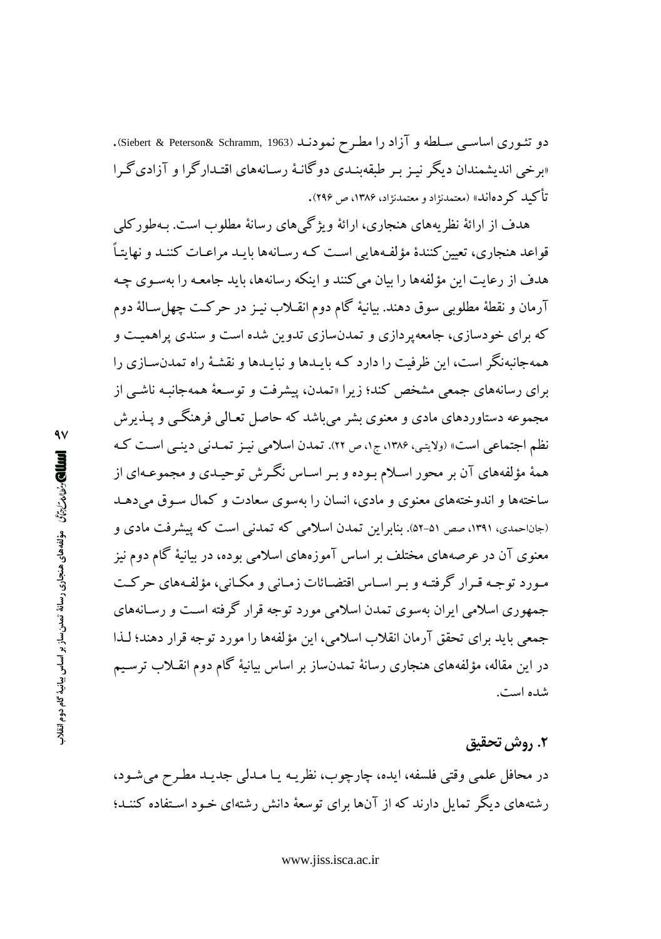دو تئــوری اساســی ســلطه و آزاد را مطــرح نمودنــد (Siebert & Peterson& Schramm, 1963). «برخی اندیشمندان دیگر نیـز بـر طبقهبنـدی دوگانـهٔ رسـانههای اقتـدارگرا و آزادیگـرا تأکید کر دهاند» (معتمدنژاد و معتمدنژاد، ۱۳۸۶، ص ۲۹۶).

هدف از ارائهٔ نظریههای هنجاری، ارائهٔ ویژگی های رسانهٔ مطلوب است. پهطور کلی قواعد هنجاری، تعیین کنندهٔ مؤلفههایی است کـه رسـانهها بایـد مراعـات کننـد و نهایتـاً هدف از رعایت این مؤلفهها را بیان می کنند و اینکه رسانهها، باید جامعیه را بهسوی چیه آرمان و نقطهٔ مطلوبی سوق دهند. بیانیهٔ گام دوم انقـلاب نیـز در حرکـت چهلِ سـالهٔ دوم که برای خودسازی، جامعهپردازی و تمدنسازی تدوین شده است و سندی پراهمیت و همهجانبهنگر است، این ظرفیت را دارد کـه بایـدها و نبایـدها و نقشـهٔ راه تمدنسـازی را برای رسانههای جمعی مشخص کند؛ زیرا «تمدن، پیشرفت و توسعهٔ همهجانبه ناشبی از مجموعه دستاوردهای مادی و معنوی بشر میباشد که حاصل تعـالی فرهنگــی و یــذیرش نظم اجتماعی است» (ولایتی، ۱۳۸۶، ج۱، ص ۲۲). تمدن اسلامی نیـز تمـدنی دینـی اسـت کـه همهٔ مؤلفههای آن بر محور اسلام بـوده و بـر اسـاس نگـرش توحیـدی و مجموعـهای از ساختهها و اندوختههای معنوی و مادی، انسان را بهسوی سعادت و کمال سـوق می دهـد (جاناحمدی، ۱۳۹۱، صص ۵۱-۵۲). بنابراین تمدن اسلامی که تمدنی است که پیشرفت مادی و معنوی آن در عرصههای مختلف بر اساس آموزههای اسلامی بوده، در بیانیهٔ گام دوم نیز مـورد توجـه قـرار گرفتـه و بـر اسـاس اقتضـائات زمـاني و مكـاني، مؤلفـههاي حركـت جمهوری اسلامی ایران بهسوی تمدن اسلامی مورد توجه قرار گرفته است و رسانههای جمعي بايد براي تحقق آرمان انقلاب اسلامي، اين مؤلفهها را مورد توجه قرار دهند؛ لـذا در این مقاله، مؤلفههای هنجاری رسانهٔ تمدنساز بر اساس بیانیهٔ گام دوم انقـلاب ترسـیم شده است.

#### ٢. روش تحقيق

در محافل علمي وقتي فلسفه، ايده، چارچوب، نظريـه يـا مـدلمي جديـد مطـرح ميشـود، رشتههای دیگر تمایل دارند که از آنها برای توسعهٔ دانش رشتهای خـود اسـتفاده کننـد؛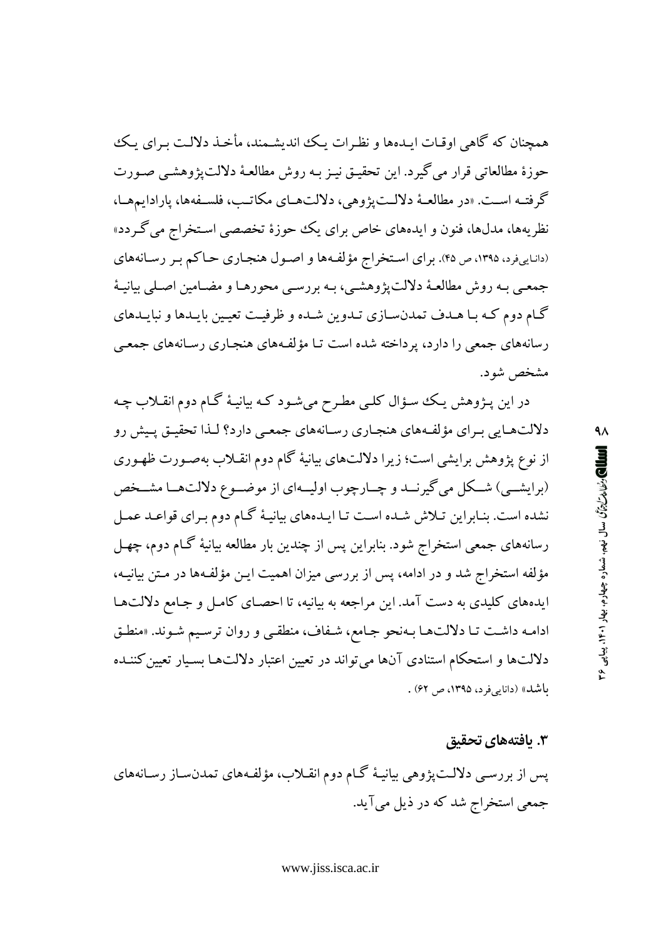همچنان که گاهی اوقـات ایـدهها و نظـرات یـک اندیشـمند، مأخـذ دلالـت بـرای یـک حوزهٔ مطالعاتی قرار می گیرد. این تحقیق نیـز بـه روش مطالعـهٔ دلالت یژوهشـی صـورت گرفتـه اسـت. «در مطالعـهٔ دلالـت یژوهی، دلالتهـای مکاتـب، فلسـفهها، یارادابمهـا، نظریهها، مدلها، فنون و ایدههای خاص برای یک حوزهٔ تخصصی استخراج می گردد» (داناییفرد، ۱۳۹۵، ص ۴۵). برای استخراج مؤلفهها و اصول هنجاری حاکم بر رسانههای جمعـي بـه روش مطالعـهٔ دلالت پژوهشـي، بـه بررسـي محورهـا و مضـامين اصـلي بيانيـهٔ گـام دوم كـه بـا هـدف تمدنسـازي تـدوين شـده و ظرفيـت تعيـين بايـدها و نبايـدهاي رسانههای جمعی را دارد، پرداخته شده است تـا مؤلفـههای هنجـاری رسـانههای جمعـی مشخص شود.

در این پـژوهش یـک سـؤال کلـی مطـرح میشـود کـه بیانیـهٔ گـام دوم انقـلاب چـه دلالتهبایی به ای مؤلفههای هنجباری رسیانههای جمعبی دارد؟ لبذا تحقیق پیش رو از نوع پژوهش برایشی است؛ زیرا دلالتهای بیانیهٔ گام دوم انقـلاب بهصـورت ظهـوری (برايشــي) شــكل مي گيرنــد و چــارچوب اوليــهاي از موضــوع دلالتهــا مشــخص نشده است. بنـابراین تـلاش شـده اسـت تـا ایـدههای بیانیـهٔ گـام دوم بـرای قواعـد عمـل رسانههای جمعی استخراج شود. بنابراین پس از چندین بار مطالعه بیانیهٔ گـام دوم، چهـل مؤلفه استخراج شد و در ادامه، پس از بررسی میزان اهمیت ایـن مؤلفـهها در مـتن بیانیـه، ایدههای کلیدی به دست آمد. این مراجعه به بیانیه، تا احصای کامل و جامع دلالتها ادامه داشت تـا دلالتهـا بـهنحو جـامع، شـفاف، منطقـى و روان ترسـيم شـوند. «منطـق دلالتها و استحکام استنادی آنها می تواند در تعیین اعتبار دلالتها بسیار تعیین کننـده باشد» (دانایه فرد، ۱۳۹۵، ص ۶۲) .

#### ۳. یافتههای تحقیق

پس از بررسبي دلالتپژوهي بيانيـۀ گـام دوم انقـلاب، مؤلفـههاي تمدنسـاز رسـانههاي جمعی استخراج شد که در ذیل می آید.

٩٨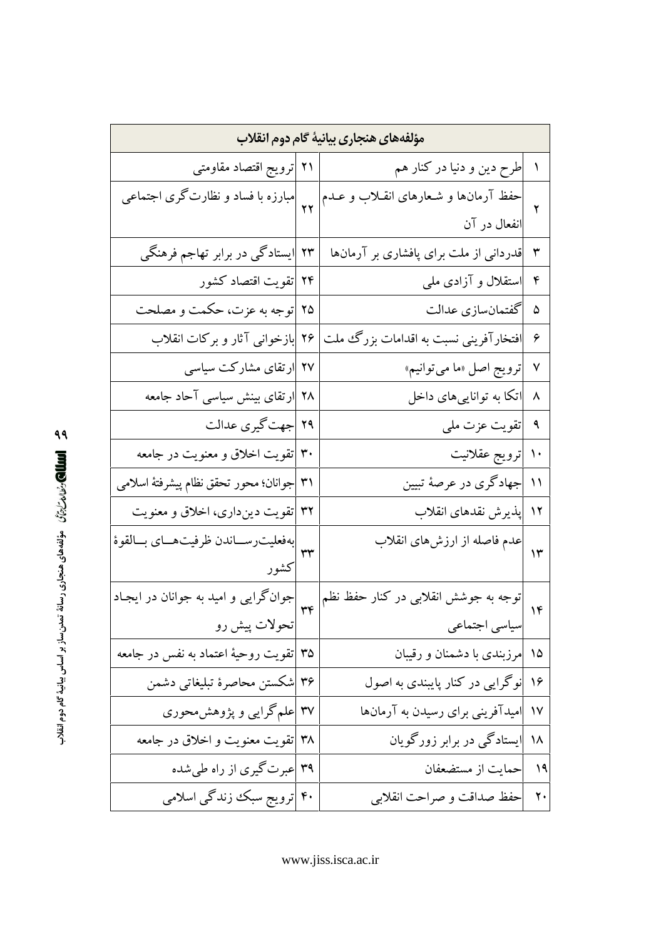| مؤلفههای هنجاری بیانیهٔ گام دوم انقلاب                       |  |                                        |                        |
|--------------------------------------------------------------|--|----------------------------------------|------------------------|
| ۲۱  ترویج اقتصاد مقاومتی                                     |  | طرح دین و دنیا در کنار هم              | $\lambda$              |
| <br>  ۲۲   مبارزه با فساد و نظارت گری اجتماعی                |  | حفظ آرمانها و شعارهای انقـلاب و عــدم  | ۲                      |
|                                                              |  | انفعال در آن                           |                        |
| ۲۳ <mark>ایستادگی در برابر تهاجم فرهنگی</mark>               |  | قدردانی از ملت برای پافشاری بر آرمانها | ٣                      |
| ۲۴  تقویت اقتصاد کشور                                        |  | استقلال و آزادی ملی                    | $\mathfrak{r}$         |
| ۲۵  توجه به عزت، حکمت و مصلحت                                |  | ۵  گفتمانسازی عدالت                    |                        |
| ۲۶ <mark>بازخوانی آثار و برکات انقلاب</mark>                 |  | افتخارآفرینی نسبت به اقدامات بزرگ ملت  | ۶                      |
| ۲۷ <mark>ارتقای مشارکت سیاسی</mark>                          |  | ترويج اصل «ما مي توانيم»               | $\checkmark$           |
| ۲۸ <mark>ارتقای بینش سیاسی آحاد جامعه</mark>                 |  | اتکا به تواناییهای داخل                | ٨                      |
| ۲۹  جهت گیری عدالت                                           |  | <mark>تقویت عزت ملی</mark>             | ٩                      |
| ۳۰  تقویت اخلاق و معنویت در جامعه                            |  | ترويج عقلانيت                          | $\mathcal{L}$          |
| ٣١  جوانان؛ محور تحقق نظام پیشرفتهٔ اسلامی                   |  | جهادگری در عرصهٔ تبیین                 | $\mathcal{L}$          |
| ۳۲  تقویت دینِداری، اخلاق و معنویت                           |  | پذیرش نقدهای انقلاب                    | ۱۲                     |
|                                                              |  | عدم فاصله از ارزشهای انقلاب            | ۱۳                     |
| كشور                                                         |  |                                        |                        |
|                                                              |  | توجه به جوشش انقلابی در کنار حفظ نظم   | $\mathcal{L}$          |
| جوانگرایی و امید به جوانان در ایجـاد<br> <br>  تحولات پیش رو |  | سیاسی اجتماعی                          |                        |
| ۳۵  تقویت روحیهٔ اعتماد به نفس در جامعه                      |  | مرزبندی با دشمنان و رقیبان             | ۱۵                     |
| ۳۶  شکستن محاصرهٔ تبلیغاتی دشمن                              |  | نوگرایی در کنار پایبندی به اصول        | ۱۶                     |
| ۳۷ <mark>علم گرایی و پژوهشمحوری</mark>                       |  | امیدآفرینی برای رسیدن به آرمانها       | $\mathsf{V}\mathsf{V}$ |
| ۳۸  تقویت معنویت و اخلاق در جامعه                            |  | ۱۸  ایستادگی در برابر زورگویان         |                        |
| ۳۹  عبرتگیری از راه طیشده                                    |  | ۱۹  حمایت از مستضعفان                  |                        |
| ۴۰  ترویج سبک زندگی اسلامی                                   |  | حفظ صداقت و صراحت انقلابي              | $\mathbf{\check{y}}$   |

ه العلله العاملي المسلم المعالي منجاري رسانة تمدن ساز بر اساس بيانية كام دوم انقلاب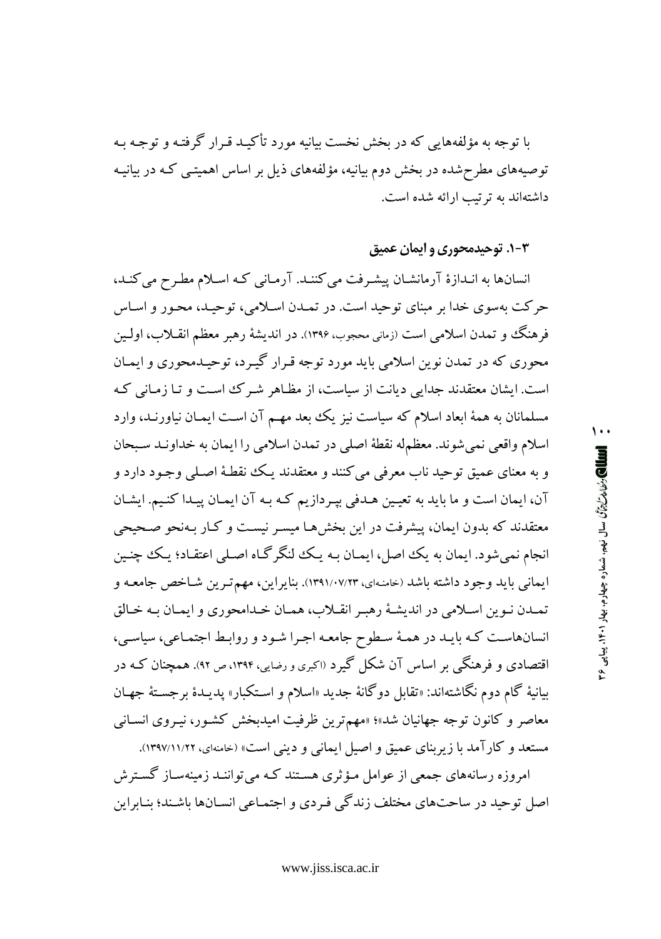با توجه به مؤلفههایی که در بخش نخست بیانیه مورد تأکیـد قـرار گرفتـه و توجـه بـه توصیههای مطرحشده در بخش دوم بیانیه، مؤلفههای ذیل بر اساس اهمیتـم کـه در بیانیـه داشتهاند به ترتیب ارائه شده است.

#### ۰۳-۲. توحیدمحوری و ایمان عمیق

انسانها به انـدازهٔ آرمانشـان پیشـرفت می کننـد. آرمـانی کـه اسـلام مطـرح می کنـد، حرکت بهسوی خدا بر مبنای توحید است. در تمـدن اسـلامی، توحیـد، محـور و اسـاس فرهنگ و تمدن اسلامی است (زمانی محجوب، ۱۳۹۶). در اندیشهٔ رهبر معظم انقـلاب، اولـین محوري كه در تمدن نوين اسلامي بايد مورد توجه قـرار گيـرد، توحيـدمحوري و ايمـان است. ایشان معتقدند جدایی دیانت از سیاست، از مظـاهر شـرک اسـت و تـا زمـانی کـه مسلمانان به همهٔ ابعاد اسلام که سیاست نیز یک بعد مهـم آن اسـت ایمـان نیاورنـد، وارد اسلام واقعي نمي شوند. معظمله نقطهٔ اصلي در تمدن اسلامي را ايمان به خداونـد سـبحان و به معناي عميق توحيد ناب معرفي مي كنند و معتقدند يـك نقطـهٔ اصـلي وجـود دارد و آن، ايمان است و ما بايد به تعيين هـدفي بيـردازيم كـه بـه آن ايمـان ييـدا كنـيم. ايشـان معتقدند که بدون ایمان، پیشرفت در این بخشها میسـر نیسـت و کـار بـهنحو صـحیحی انجام نمی شود. ایمان به یک اصل، ایمـان بـه یـک لنگرگـاه اصـلی اعتقـاد؛ یـک چنـین ايماني بايد وجود داشته باشد (خامنهاي، ١٣٩١/٠٧/٢٣). بنايراين، مهم تـرين شـاخص جامعـه و تمـدن نـوين اسـلامي در انديشـهٔ رهبـر انقـلاب، همـان خـدامحوري و ايمـان بـه خـالق انسانهاست که بایـد در همـهٔ سـطوح جامعـه اجـرا شـود و روابـط اجتمـاعي، سياسـي، اقتصادی و فرهنگی بر اساس آن شکل گیرد (اکبری و رضایی، ۱۳۹۴، ص ۹۲). همچنان کـه در بيانيهٔ گام دوم نگاشتهاند: «تقابل دوگانهٔ جدید «اسلام و اسـتکبار» پدیـدهٔ برجسـتهٔ جهـان معاصر و کانون توجه جهانیان شد»؛ «مهمترین ظرفیت امیدبخش کشور، نیـروی انسـانبی مستعد و کارآمد با زیربنای عمیق و اصیل ایمانی و دینی است» (خامنهای، ۱۱/۲۲/۱۱/۲۲).

امروزه رسانههای جمعی از عوامل مـؤثری هسـتند کـه می تواننـد زمینهسـاز گسـترش اصل توحید در ساحتهای مختلف زندگی فـردی و اجتمـاعی انسـانها باشـند؛ بنـابراین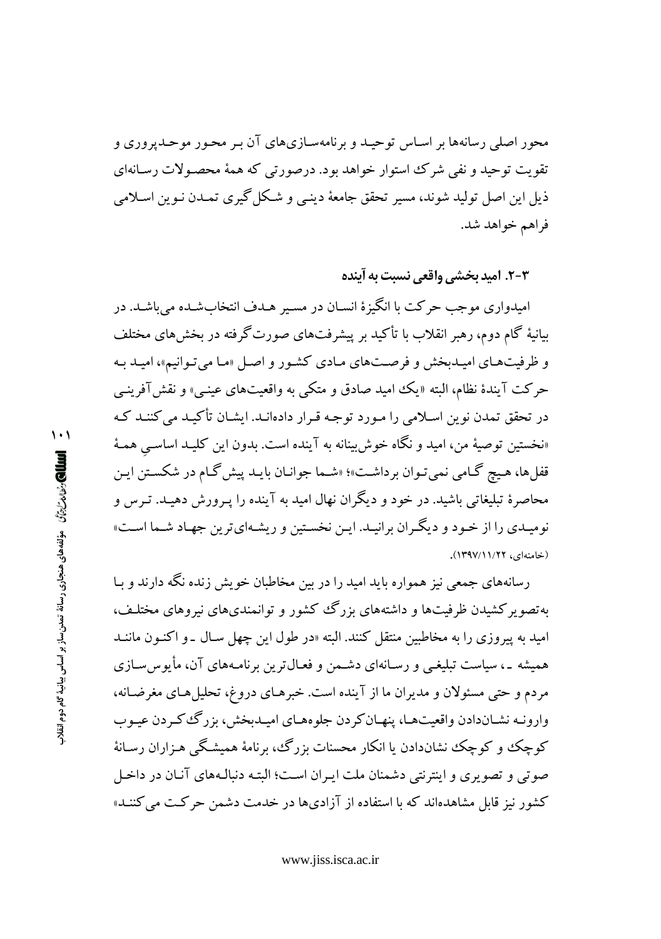محور اصلی رسانهها بر اسـاس توحیـد و برنامهسـازیهای آن بـر محـور موحـدیروری و تقويت توحيد و نفي شرك استوار خواهد بود. درصورتي كه همهٔ محصـولات رسـانهاي ذيل اين اصل توليد شوند، مسير تحقق جامعهٔ دينـي و شـكل گيري تمـدن نـوين اسـلامي فراهم خواهد شد.

٣-٢. اميد بخشي واقعي نسبت به آينده

امبدواري موجب حرکت با انگيزهٔ انسـان در مسـير هـدف انتخابشـده مي باشـد. در بیانیهٔ گام دوم، رهبر انقلاب با تأکید بر پیشرفتهای صورتگرفته در بخش های مختلف و ظرفیتهای امیـدبخش و فرصـتهای مـادی کشـور و اصـل «مـا می تـوانیم»، امیـد بـه حرکت آیندهٔ نظام، البته «یک امید صادق و متکی به واقعیتهای عینبی» و نقش آفرینبی در تحقق تمدن نوین اسلامی را مـورد توجـه قـرار دادهانـد. ایشـان تأکیـد می کننـد کـه «نخستين توصيهٔ من، اميد و نگاه خوش بينانه به آينده است. بدون اين كليـد اساسـي همـهٔ قفلها، هیچ گـامی نمیتوان برداشـت»؛ «شـما جوانـان بایـد پیش گـام در شكسـتن ایـن محاصرهٔ تبلیغاتی باشید. در خود و دیگران نهال امید به آینده را پـرورش دهیـد. تـرس و نومیـدي را از خـود و ديگـران برانيـد. ايـن نخسـتين و ريشـهايترين جهـاد شـما اسـت» (خامنهای، ۱۲/۲۱/۲۹۷).

رسانههای جمعی نیز همواره باید امید را در بین مخاطبان خویش زنده نگه دارند و سا به تصویر کشیدن ظرفیتها و داشتههای بزرگ کشور و توانمندیهای نیروهای مختلـف، امید به پیروزی را به مخاطبین منتقل کنند. البته «در طول این چهل سـال ـ و اکنـون ماننــد همیشه ـ، سیاست تبلیغـی و رسـانهای دشـمن و فعـال¤رین برنامـههای آن، مأبوسسـازی مردم و حتی مسئولان و مدیران ما از آینده است. خبرهـای دروغ، تحلیلهـای مغرضـانه، وارونـه نشـاندادن واقعيتهـا، پنهـان كردن جلوههـاي اميـدبخش، بزرگت كـردن عيـوب کوچک و کوچک نشاندادن یا انکار محسنات بزرگ، برنامهٔ همیشگی هـزاران رسـانهٔ صوتی و تصویری و ابنترنتی دشمنان ملت ایران است؛ البته دنبالـههای آنیان در داخیل کشور نیز قابل مشاهدهاند که با استفاده از آزادیها در خدمت دشمن حرکت می کننـد»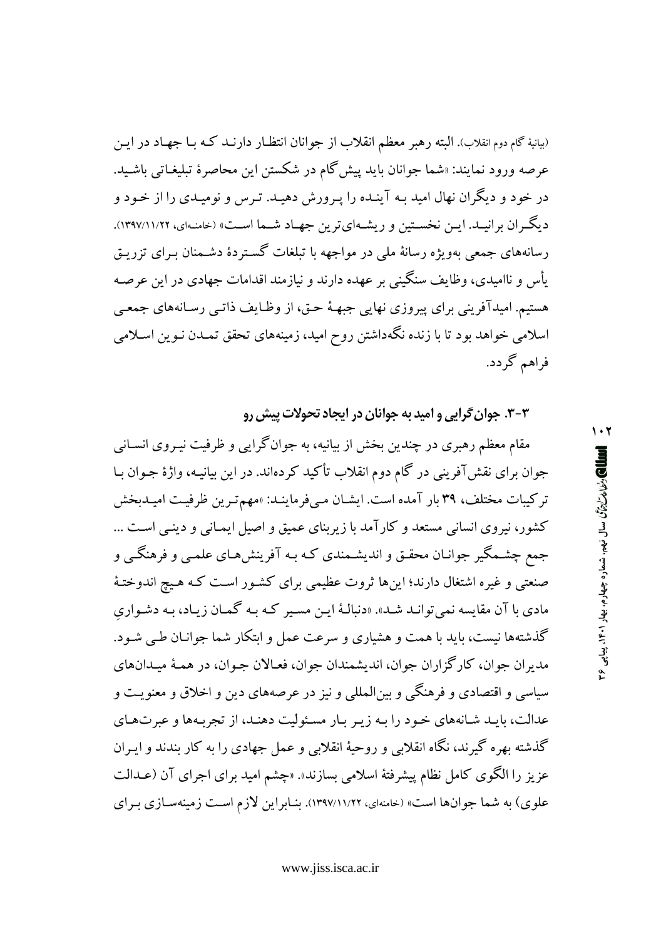(بیانیهٔ گام دوم انقلاب). البته رهبر معظم انقلاب از جوانان انتظـار دارنــد کـه بــا جهـاد در ایــن عرصه ورود نمايند: «شما جوانان بايد پيش گام در شكستن اين محاصرهٔ تبليغـاتي باشـيد. در خود و دیگران نهال امید بـه آینـده را پـرورش دهیـد. تـرس و نومیـدی را از خـود و دیگـران برانیـد. ایـن نخسـتین و ریشـهایترین جهـاد شـما اسـت» (خامنـهای، ۱۱/۲۲/۱۱/۲۲). رسانههای جمعی بهویژه رسانهٔ ملی در مواجهه با تبلغات گستردهٔ دشـمنان بـرای تزریـق یأس و ناامیدی، وظایف سنگینی بر عهده دارند و نیازمند اقدامات جهادی در این عرصه هستیم. امیدآفرینی برای پیروزی نهایی جبهـهٔ حـق، از وظـایف ذاتـی رسـانههای جمعـی اسلامی خواهد بود تا با زنده نگهداشتن روح امید، زمینههای تحقق تمـدن نـوین اسـلامی فراهم گردد.

۳-۳. جوان گرایی و امید به جوانان در ایجاد تحولات پیش رو

مقام معظم رهبری در چندین بخش از بیانیه، به جوانگرایی و ظرفیت نیـروی انسـانی جوان برای نقشآفرینی در گام دوم انقلاب تأکید کردهاند. در این بیانیـه، واژهٔ جـوان بـا تركيبات مختلف، ٣٩ بار آمده است. ايشـان مـىفرماينـد: «مهم تـرين ظرفيـت اميـدبخش کشور، نیروی انسانی مستعد و کارآمد با زیربنای عمیق و اصیل ایمـانی و دینـی اسـت ... جمع چشـمگیر جوانـان محقـق و اندیشـمندی کـه بـه آفرینشهـای علمـی و فرهنگـی و صنعتی و غیره اشتغال دارند؛ اینها ثروت عظیمی برای کشـور اسـت کـه هـیج اندوختـهٔ مادي با آن مقايسه نمي توانـد شـد». «دنبالـهٔ ايـن مسـير كـه بـه گمـان زيـاد، بـه دشـواري گذشتهها نیست، باید با همت و هشیاری و سرعت عمل و ابتکار شما جوانـان طـی شـود. مديران جوان، كارگزاران جوان، انديشمندان جوان، فعـالان جـوان، در همـهٔ ميـدانهاي سیاسی و اقتصادی و فرهنگی و بینالمللی و نیز در عرصههای دین و اخلاق و معنویت و عدالت، بايـد شـانههاي خـود را بـه زيـر بـار مسـئوليت دهنـد، از تجربـهها و عبرتهـاي گذشته بهره گیرند، نگاه انقلابی و روحیهٔ انقلابی و عمل جهادی را به کار بندند و ایـران عزیز را الگوی کامل نظام پیشرفتهٔ اسلامی بسازند». «چشم امید برای اجرای آن (عــدالت علوی) به شما جوانها است» (خامنهای، ۱۲۹۷/۱۱/۲۲). بنـابراین لازم اسـت زمینهسـازی بـرای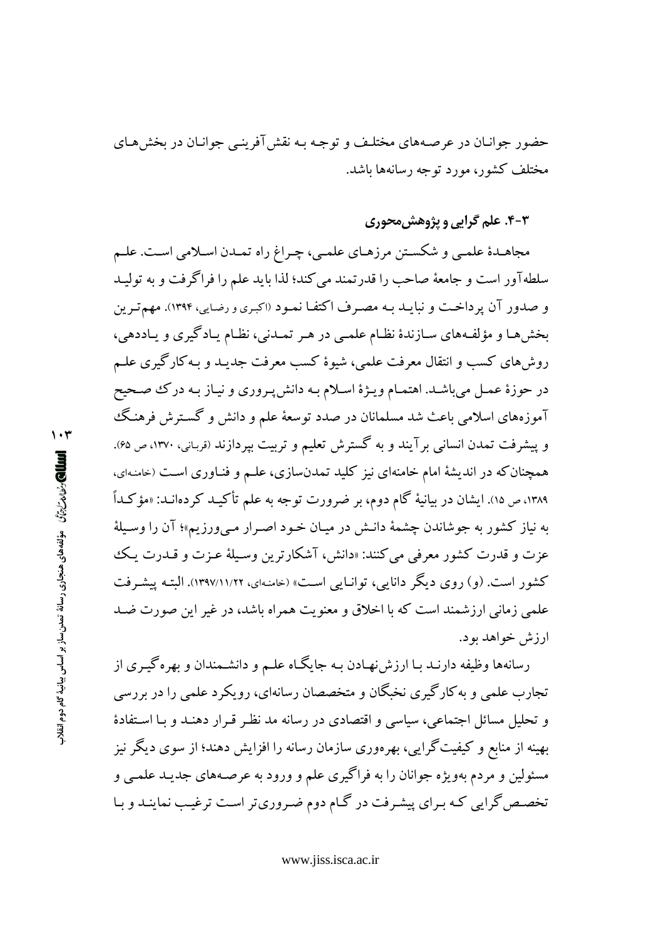حضور جوانـان در عرصـههاي مختلـف و توجـه بـه نقش آفرينـي جوانـان در بخشهـاي مختلف کشور، مورد توجه رسانهها باشد.

### ۴-۴. علم گرایی و پژوهش محوری

مجاهـدۀ علمـي و شكسـتن مرزهـاي علمـي، چـراغ راه تمـدن اسـلامي اسـت. علـم سلطهآور است و جامعهٔ صاحب را قدرتمند می کند؛ لذا باید علم را فراگرفت و به تولیـد و صدور آن پرداخت و نبایـد بـه مصـرف اكتفـا نمـود (اكبـرى و رضـايي، ۱۳۹۴). مهم تـرين بخش هـا و مؤلفـههاي سـازندهٔ نظـام علمـى در هـر تمـدنى، نظـام يـادگيري و يـاددهي، روشهای کسب و انتقال معرفت علمی، شیوهٔ کسب معرفت جدیـد و بـهکارگیری علـم در حوزهٔ عمـل ميباشـد. اهتمـام ويـژهٔ اسـلام بـه دانش پـروري و نيـاز بـه درك صـحيح آموزههای اسلامی باعث شد مسلمانان در صدد توسعهٔ علم و دانش و گسـترش فرهنـگ و پیشرفت تمدن انسانی برآیند و به گسترش تعلیم و تربیت بپردازند (قربانی، ۱۳۷۰، ص۹۶). همچنان که در اندیشهٔ امام خامنهای نیز کلید تمدنسازی، علـم و فنـاوری اسـت (خامنـهای، ۱۳۸۹، ص ۱۵). ایشان در بیانیهٔ گام دوم، بر ضرورت توجه به علم تأکیـد کردهانـد: «مؤکـداً به نیاز کشور به جوشاندن چشمهٔ دانـش در میـان خـود اصـرار مـیورزیم»؛ آن را وسـیلهٔ عزت و قدرت كشور معرفي مي كنند: «دانش، آشكارترين وسيلة عـزت و قــدرت يـك کشور است. (و) روی دیگر دانایی، توانیایی است» (خامنهای، ۱۲۹۷/۱۱/۲۲). البته پیشرفت علمی زمانی ارزشمند است که با اخلاق و معنویت همراه باشد، در غیر این صورت ضـد ارزش خواهد بود.

رسانهها وظیفه دارنـد بـا ارزش نهـادن بـه جایگـاه علـم و دانشـمندان و بهرهگیـری از تجارب علمي و به كارگيري نخبگان و متخصصان رسانهاي، رويكرد علمي را در بررسي و تحلیل مسائل اجتماعی، سیاسی و اقتصادی در رسانه مد نظر قـرار دهنـد و بـا اسـتفادهٔ بهینه از منابع و کیفیت گرایی، بهرهوری سازمان رسانه را افزایش دهند؛ از سوی دیگر نیز مسئولین و مردم بهویژه جوانان را به فراگیری علم و ورود به عرصـههای جدیـد علمـی و تخصص گرایی که برای پیشرفت در گـام دوم ضـروریتر اسـت ترغیـب نماینـد و بـا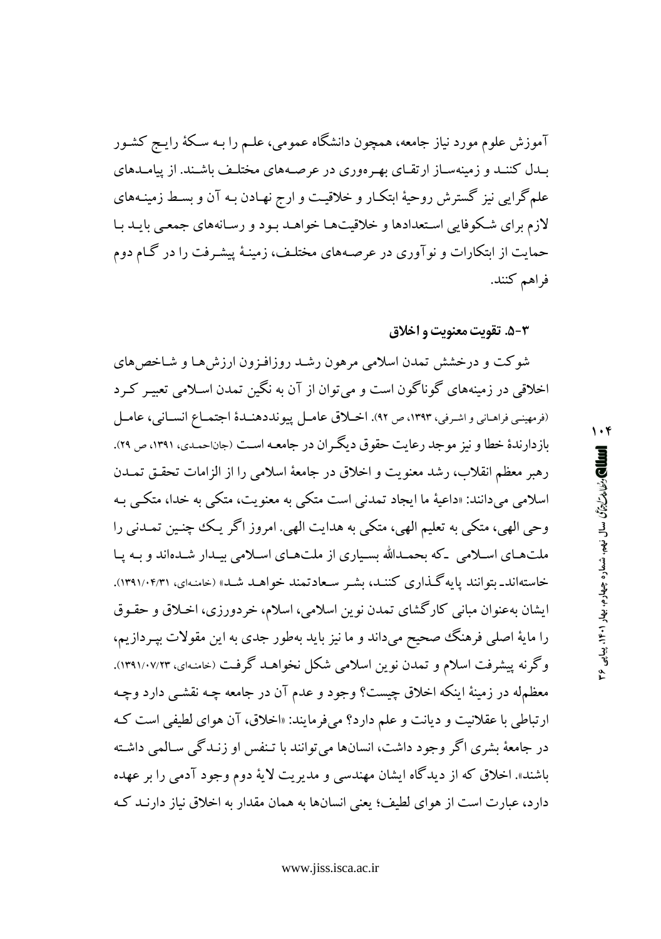آموزش علوم مورد نیاز جامعه، همچون دانشگاه عمومی، علـم را بـه سـکهٔ رایـج کشـور بیدل کننید و زمینهساز ارتقیای بهرهوری در عرصههای مختلیف باشند. از پیامیدهای علمگرایی نیز گسترش روحیهٔ ابتکار و خلاقیت و ارج نهـادن بـه آن و بسـط زمینـههای لازم برای شکوفایی استعدادها و خلاقیتها خواهـد بـود و رسـانههای جمعـی بایـد بـا حمایت از ابتکارات و نوآوری در عرصههای مختلـف، زمینـهٔ پیشـرفت را در گـام دوم فراهم كنند.

#### 5-۵. تقويت معنويت و اخلاق

شوكت و درخشش تمدن اسلامي مرهون رشـد روزافـزون ارزش هـا و شـاخص هاي اخلاقی در زمینههای گوناگون است و می توان از آن به نگین تمدن اسـلامی تعبیـر کـرد (فرمهينيي فراهياني و اشرفي، ١٣٩٣، ص ٩٢). اخبلاق عامل پيونددهنيدۀ اجتمياع انسياني، عاميل بازدارندهٔ خطا و نیز موجد رعایت حقوق دیگران در جامعـه اسـت (جاناحمـدي، ۱۳۹۱، ص ۲۹). رهبر معظم انقلاب، رشد معنويت و اخلاق در جامعهٔ اسلامی را از الزامات تحقـق تمـدن اسلامي مي دانند: «داعيهٔ ما ايجاد تمدني است متکي به معنويت، متکي به خدا، متکبي بـه وحي الهي، متكي به تعليم الهي، متكي به هدايت الهي. امروز اگر يك چنين تمـدني را ملتهای اسلامی که بحمدالله بسیاری از ملتهای اسلامی بیدار شدهاند و بـه پـا خاستهاند\_بتوانند پایهگذاری کننـد، بشـر سـعادتمند خواهـد شـد» (خامنـهای، ۱۳۹۱/۰۴/۳۱). ایشان بهعنوان مبانی کارگشای تمدن نوین اسلامی، اسلام، خردورزی، اخلاق و حقـوق را مایهٔ اصلی فرهنگ صحیح میداند و ما نیز باید بهطور جدی به این مقولات بپـردازیـم، وگرنه پیشرفت اسلام و تمدن نوین اسلامی شکل نخواهـد گرفـت (خامنـهای، ۱۳۹۱/۰۷/۲۳). معظمله در زمینهٔ اینکه اخلاق چیست؟ وجود و عدم آن در جامعه چـه نقشـی دارد وچـه ارتباطي با عقلانيت و ديانت و علم دارد؟ مي فرمايند: «اخلاق، آن هواي لطيفي است كه در جامعهٔ بشری اگر وجود داشت، انسانها می توانند با تـنفس او زنـدگی سـالمی داشـته باشند». اخلاق که از دیدگاه ایشان مهندسی و مدیریت لایهٔ دوم وجود آدمی را بر عهده دارد، عبارت است از هوای لطیف؛ یعنی انسانها به همان مقدار به اخلاق نیاز دارنـد کـه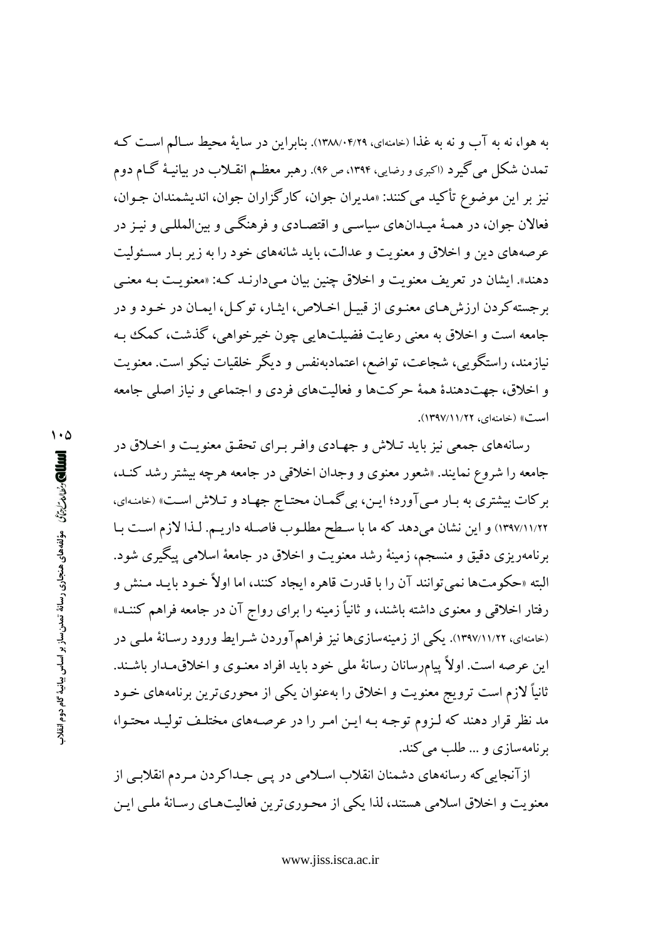به هوا، نه به آب و نه به غذا (خامنهای، ۱۳۸۸/۰۴/۲۹). بنابراین در سایهٔ محیط سـالم اسـت کـه تمدن شکل می گیرد (اکبری و رضایی، ۱۳۹۴، ص ۹۶). رهبر معظـم انقــلاب در بیانیـهٔ گــام دوم نيز بر اين موضوع تأكيد مي كنند: «مديران جوان، كارگزاران جوان، انديشمندان جـوان، فعالان جوان، در همـهٔ میـدانهای ساسـی و اقتصـادی و فرهنگـی و سِن(لمللـی و نیـز در عرصههای دین و اخلاق و معنویت و عدالت، باید شانههای خود را به زیر بـار مسـئولیت دهند». ایشان در تعریف معنویت و اخلاق چنین بیان مـیدارنـد کـه: «معنویـت بـه معنـی برجسته کردن ارزش هـاي معنـوي از قبيـل اخـلاص، ايشار، توکـل، ايمـان در خـود و در جامعه است و اخلاق به معنی رعایت فضیلتهایی چون خیرخواهی، گذشت، کمک بـه نیازمند، راستگویی، شجاعت، تواضع، اعتمادبهنفس و دیگر خلقیات نیکو است. معنویت و اخلاق، جهتدهندهٔ همهٔ حرکتها و فعالیتهای فردی و اجتماعی و نیاز اصلی جامعه است» (خامنهای، ۱۲۹۷/۱۱/۲۲).

رسانههای جمعی نیز باید تـلاش و جهـادی وافـر بـرای تحقـق معنویـت و اخـلاق در جامعه را شروع نمایند. «شعور معنوی و وجدان اخلاقی در جامعه هرچه بیشتر رشد کنـد، برکات بیشتری به بـار مـی آورد؛ ایـن، بی گمـان محتـاج جهـاد و تـلاش اسـت» (خامنـهای، ١٣٩٧/١١/٢٢) و اين نشان مي دهد كه ما با سطح مطلـوب فاصـله داريـم. لـذا لازم اسـت بـا برنامهریزی دقیق و منسجم، زمینهٔ رشد معنویت و اخلاق در جامعهٔ اسلامی پیگیری شود. البته «حکومتها نمي توانند آن را با قدرت قاهره ايجاد کنند، اما اولاً خـود بايــد مـنش و رفتار اخلاقی و معنوی داشته باشند، و ثانیاً زمینه را برای رواج آن در جامعه فراهم کننــد» (خامنهای، ۱۲۹۷/۱۱/۲۲). یکی از زمینهسازیها نیز فراهمآوردن شـرایط ورود رسـانهٔ ملـی در این عرصه است. اولاً پیامرسانان رسانهٔ ملی خود باید افراد معنـوی و اخلاق،مـدار باشـند. ثانیاً لازم است ترویج معنویت و اخلاق را بهعنوان یکی از محوریترین برنامههای خـود مد نظر قرار دهند که لـزوم توجـه بـه ايـن امـر را در عرصـههاي مختلـف توليـد محتـوا، برنامهسازي و ... طلب مي كند.

از آنجایی که رسانههای دشمنان انقلاب اسلامی در پـی جـداکردن مـردم انقلابـی از معنویت و اخلاق اسلامی هستند، لذا یکی از محـوری¤ ین فعالیتهـای رسـانهٔ ملـی ایـن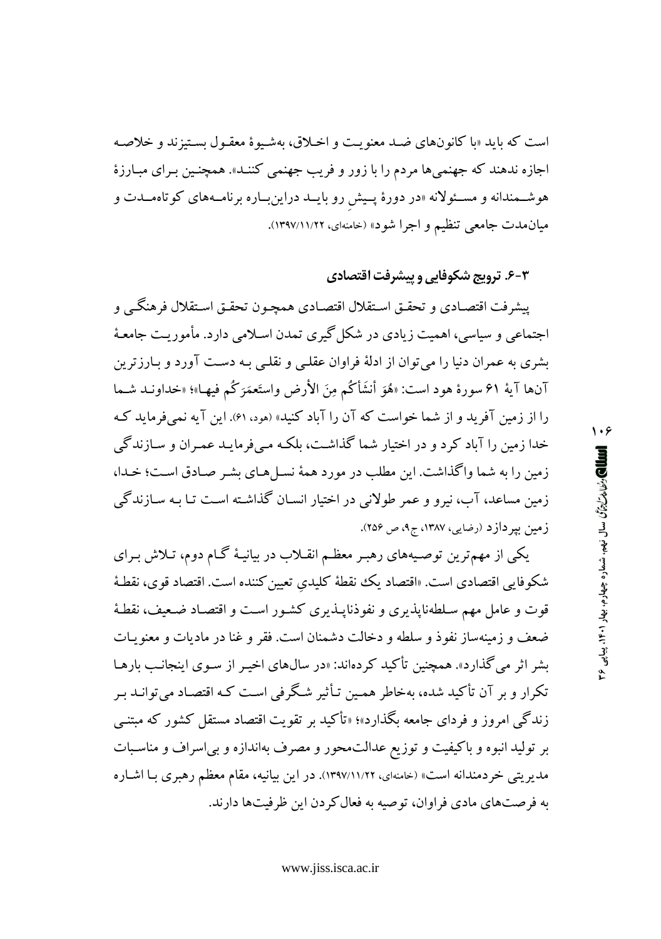است که باید «با کانونهای ضـد معنویـت و اخـلاق، بهشـیوهٔ معقـول بسـتیزند و خلاصـه اجازه ندهند که جهنمیها مردم را با زور و فریب جهنمی کننـد». همچنـین بـرای مبـارزهٔ هوشـمندانه و مسـئولانه «در دورهٔ پـیش رو بایــد دراینبــاره برنامــههای کوتاهمــدت و میان.مدت جامعی تنظیم و اجرا شود» (خامنهای، ۱۲۹۷/۱۱/۲۲).

### ۶-۳- ترویج شکوفایی و پیشرفت اقتصادی

۱۰۶

**اللطال) رئيلامز**ليرتون سال نيمم، شماره چهارم، بيهار ۴۰۱، پياپي ۴۶

پیشرفت اقتصـادي و تحقــق اسـتقلال اقتصــادي همچـون تحقـق اسـتقلال فرهنگــي و اجتماعی و سیاسی، اهمیت زیادی در شکل گیری تمدن اسـلامی دارد. مأموریـت جامعـهٔ بشری به عمران دنیا را می توان از ادلهٔ فراوان عقلبی و نقلبی بـه دسـت آورد و بـارزترین آنها آية ۶۱ سورة هود است: «هُوَ أنشَأْكُم مِنَ الأرض واستَعمَرَكُم فيهـا»؛ «خداونـد شـما را از زمین آفرید و از شما خواست که آن را آباد کنید» (هود، ۶۱). این آیه نمی فرماید ک خدا زمین را آباد کرد و در اختیار شما گذاشت، بلکه مبی فرمایید عمیران و سیازندگی زمین را به شما واگذاشت. این مطلب در مورد همهٔ نسـل هـای بشـر صـادق اسـت؛ خـدا، زمین مساعد، آب، نیرو و عمر طولانی در اختیار انسـان گذاشـته اسـت تـا بـه سـازندگی زمین بپردازد (رضایی، ۱۳۸۷، ج۹، ص ۲۵۶).

یکی از مهمترین توصـیههای رهبـر معظـم انقـلاب در بیانیـهٔ گـام دوم، تـلاش بـرای شكوفايي اقتصادي است. «اقتصاد يك نقطهٔ كليدي تعيين كننده است. اقتصاد قوي، نقطـهٔ قوت و عامل مهم سـلطهنايذيري و نفوذنايــذيري كشـور اسـت و اقتصـاد ضـعيف، نقطـهٔ ضعف و زمینهساز نفوذ و سلطه و دخالت دشمنان است. فقر و غنا در مادیات و معنویـات بشر اثر می گذارد». همچنین تأکید کردهاند: «در سال&ای اخیـر از سـوی اینجانـب بارهـا تکرار و بر آن تأکید شده، بهخاطر همین تـأثیر شـگرفی اسـت کـه اقتصـاد میتوانـد بـر زندگی امروز و فردای جامعه بگذارد»؛ «تأکید بر تقویت اقتصاد مستقل کشور که مبتنبی بر تولید انبوه و باکیفیت و توزیع عدالت.حور و مصرف بهاندازه و بی اسراف و مناسبات مدیریتی خردمندانه است» (خامنهای، ۱۲۹۷/۱۱/۲۲). در این بیانیه، مقام معظم رهبری بـا اشـاره به فرصتهای مادی فراوان، توصیه به فعال کردن این ظرفیتها دارند.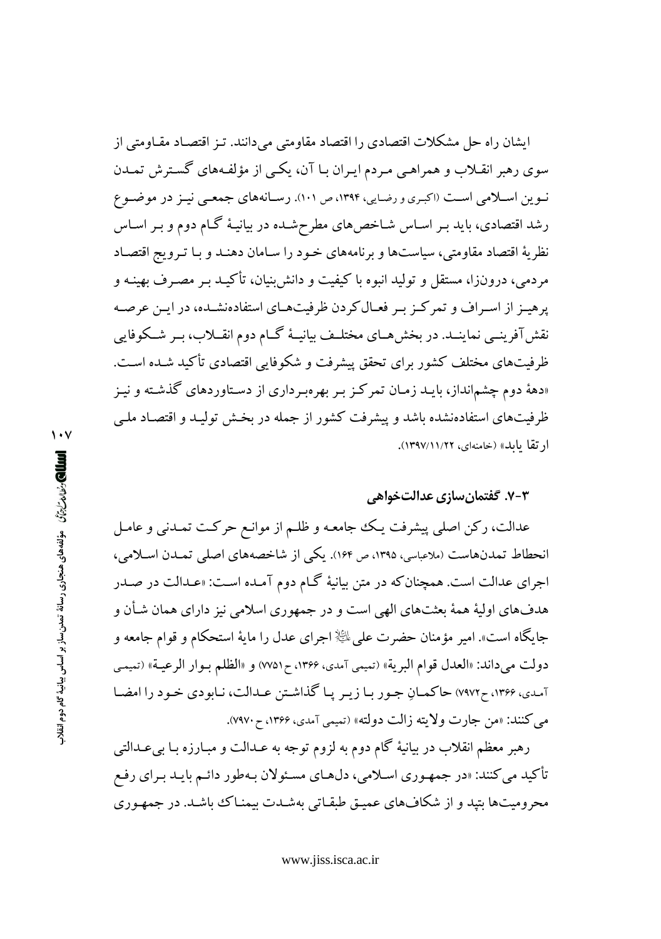ایشان راه حل مشکلات اقتصادی را اقتصاد مقاومتی می،دانند. تـز اقتصـاد مقـاومتی از سوی رهبر انقـلاب و همراهـی مـردم ایـران بـا آن، یکـی از مؤلفـههای گسـترش تمـدن نوین اسلامی است (اکبری و رضایی، ۱۳۹۴، ص ۱۰۱). رسانههای جمعی نینز در موضوع رشد اقتصادی، باید بـر اسـاس شـاخصهای مطرحشـده در بیانیـهٔ گـام دوم و بـر اسـاس نظريهٔ اقتصاد مقاومتي، سياستها و برنامههاي خـود را سـامان دهنـد و بـا تـرويج اقتصـاد مردمی، درونزا، مستقل و تولید انبوه با کیفیت و دانش بنیان، تأکیـد بـر مصـرف بهینـه و پرهیـز از اسـراف و تمرکـز بـر فعـال کردن ظرفیتهـای استفادهنشـده، در ایـن عرصـه نقش آفرینسی نماینــد. در بخش هــای مختلــف بیانیــهٔ گــام دوم انقــلاب، بــر شــکوفایی ظرفیتهای مختلف کشور برای تحقق پیشرفت و شکوفایی اقتصادی تأکید شـده اسـت. «دههٔ دوم چشمانداز، بایـد زمـان تمرکـز بـر بهرهبـرداری از دسـتاوردهای گذشـته و نیـز ظرفیتهای استفادهنشده باشد و پیشرفت کشور از جمله در بخش تولیـد و اقتصـاد ملـی ارتقا بابله» (خامنهای، ۱۲۹۷/۱۱/۲۲).

#### ۷-۳. گفتمان سازی عدالتخواهی

عدالت، رکن اصلی پیشرفت یک جامعه و ظلـم از موانـع حرکـت تمـدنی و عامـل انحطاط تمدنهاست (ملاعباسی، ۱۳۹۵، ص ۱۶۴). یکی از شاخصههای اصلی تمـدن اسـلامی، اجرای عدالت است. همچنانکه در متن بیانیهٔ گـام دوم آمـده اسـت: «عـدالت در صـدر هدفهاي اوليهٔ همهٔ بعثتهاي الهي است و در جمهوري اسلامي نيز داراي همان شـأن و جايگاه است». امير مؤمنان حضرت على ﷺ اجراى عدل را مايهٔ استحکام و قوام جامعه و دولت مي داند: «العدل قوام البرية» (تميمي آمدي، ١٣۶۶، ح٧٥١) و «الظلم بـوار الرعيـة» (تميمـي آمدي، ۱۳۶۶، ح۷۹۷۲) حاكمـانِ جـور بـا زيـر پـا گذاشـتن عـدالت، نـابودي خـود را امضـا مي كنند: «من جارت ولايته زالت دولته» (تميمي آمدي، ۱۳۶۶، ح ۷۹۷۰).

رهبر معظم انقلاب در بیانیهٔ گام دوم به لزوم توجه به عــدالت و مبــارزه بــا بی عــدالتبی تأكيد مي كنند: «در جمهـوري اسـلامي، دلهـاي مسـئولان بـهطور دائـم بايـد بـراي رفـع محرومیتها بتید و از شکافهای عمیـق طبقـاتی بهشـدت بیمنـاک باشـد. در جمهـوری

العللي *وثنائت التي مؤ*لفه هاي هنجاري رسانة تمدن ساز بر اساس بيانية كام دوم انقلاب

 $\mathbf{y} \cdot \mathbf{y}$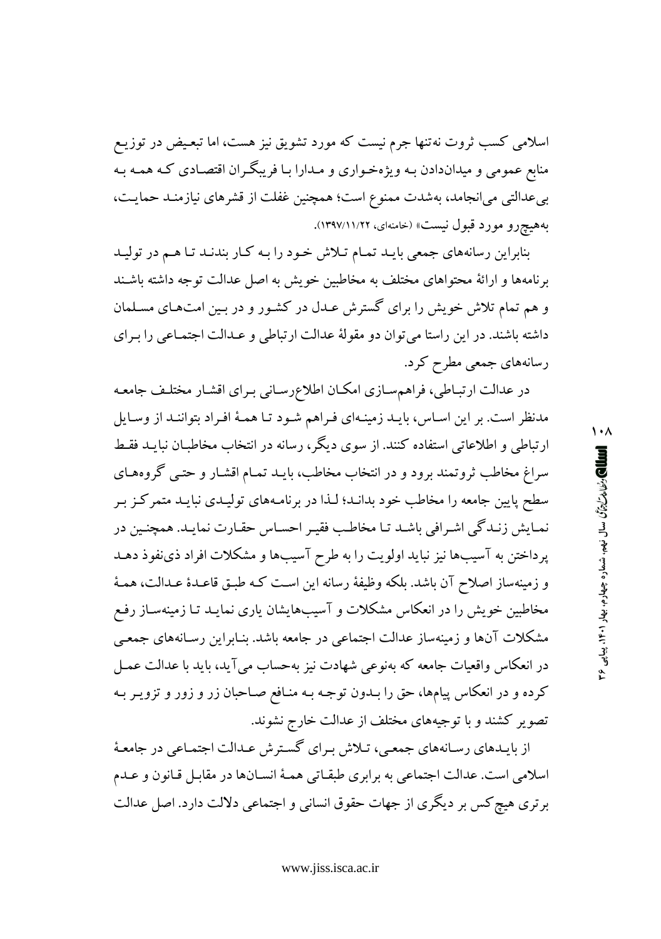اسلامی کسب ثروت نه تنها جرم نیست که مورد تشویق نیز هست، اما تبعیض در توزیـع منابع عمومی و میداندادن بـه ویژهخـواری و مـدارا بـا فریبگـران اقتصـادی کـه همـه بـه بیعدالتی میانجامد، بهشدت ممنوع است؛ همچنین غفلت از قشرهای نیازمنـد حمایـت، بههيچرو مورد قبول نيست» (خامنهاي، ١٣٩٧/١١/٢٢).

بنابراین رسانههای جمعی بایـد تمـام تـلاش خـود را بـه کـار بندنـد تـا هـم در توليـد برنامهها و ارائهٔ محتواهای مختلف به مخاطبین خویش به اصل عدالت توجه داشته باشند و هم تمام تلاش خویش را برای گسترش عـدل در کشـور و در بـین امتهـای مسـلمان داشته باشند. در این راستا می توان دو مقولهٔ عدالت ارتباطی و عـدالت اجتمـاعی را بـرای رسانههای جمعی مطرح کرد.

در عدالت ارتبـاطي، فراهمسـازي امكـان اطلاع٫رسـاني بـراي اقشـار مختلـف جامعـه مدنظر است. بر این اسـاس، بایـد زمینـهای فـراهم شـود تـا همـهٔ افـراد بتواننـد از وسـایل ارتباطی و اطلاعاتی استفاده کنند. از سوی دیگر، رسانه در انتخاب مخاطبـان نبایــد فقـط سراغ مخاطب ثروتمند برود و در انتخاب مخاطب، بايـد تمـام اقشـار و حتـبي گروههـاي سطح پایین جامعه را مخاطب خود بدانـد؛ لـذا در برنامـههای تولیـدی نبایـد متمركـز بـر نمـايش زنـدگي اشـرافي باشـد تـا مخاطـب فقيـر احسـاس حقـارت نمايـد. همچنـين در پرداختن به آسیبها نیز نباید اولویت را به طرح آسیبها و مشکلات افراد ذی نفوذ دهـد و زمینهساز اصلاح آن باشد. بلکه وظیفهٔ رسانه این است کـه طبـق قاعـدهٔ عـدالت، همـهٔ مخاطبین خویش را در انعکاس مشکلات و آسیبهایشان یاری نمایـد تـا زمینهسـاز رفـع مشکلات آنها و زمینهساز عدالت اجتماعی در جامعه باشد. بنـابراین رسـانههای جمعـی در انعکاس واقعیات جامعه که بهنوعی شهادت نیز بهحساب می آید، باید با عدالت عمـل کرده و در انعکاس پیامها، حق را بـدون توجـه بـه منـافع صـاحبان زر و زور و تزویـر بـه تصویر کشند و با توجیههای مختلف از عدالت خارج نشوند.

از بایـدهای رسـانههای جمعـی، تـلاش بـرای گسـترش عـدالت اجتمـاعی در جامعـهٔ اسلامي است. عدالت اجتماعي به برابري طبقـاتي همـهٔ انسـانها در مقابـل قـانون و عـدم برتری هیچ کس بر دیگری از جهات حقوق انسانی و اجتماعی دلالت دارد. اصل عدالت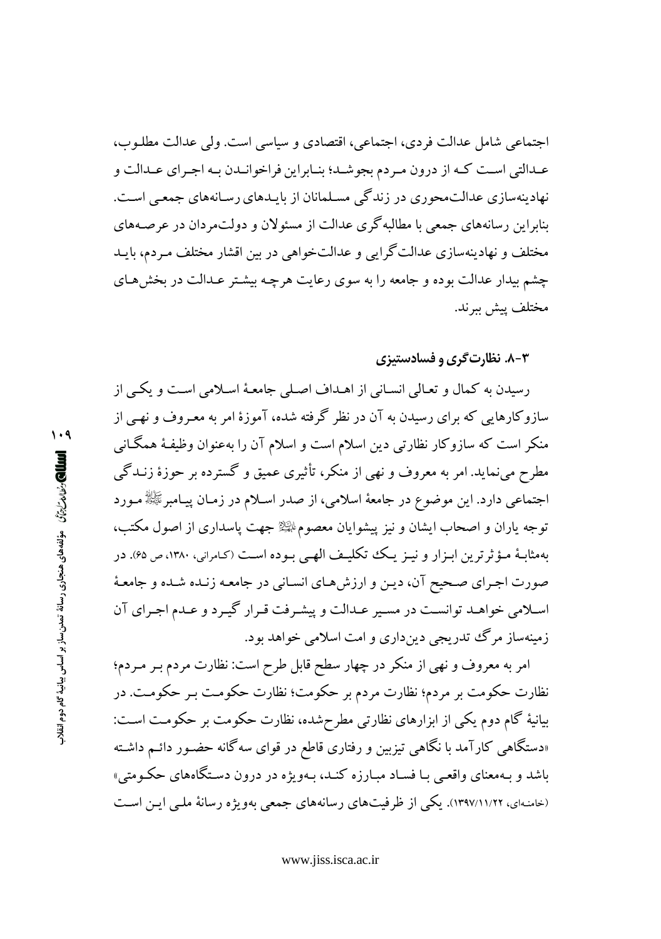اجتماعی شامل عدالت فردی، اجتماعی، اقتصادی و سیاسی است. ولی عدالت مطلـوب، عـدالتي اسـت كـه از درون مـردم بجوشـد؛ بنـابراين فراخوانـدن بـه اجـراي عـدالت و نهادینهسازی عدالتمحوری در زندگی مسلمانان از بایـدهای رسـانههای جمعـی اسـت. بناراین رسانههای جمعی با مطالبه گری عدالت از مسئولان و دولتمردان در عرصههای مختلف و نهادینهسازی عدالتگرایی و عدالتخواهی در بین اقشار مختلف مـردم، بایـد چشم بیدار عدالت بوده و جامعه را به سوی رعایت هرچه بیشتر عـدالت در بخش هـای مختلف پیش ببرند.

۸-۳. نظارت گری و فسادستیزی

رسیدن به کمال و تعـالی انسـانی از اهـداف اصـلی جامعـهٔ اسـلامی اسـت و یکـی از سازوکارهایی که برای رسیدن به آن در نظر گرفته شده، آموزهٔ امر به معـروف و نهـی از منکر است که سازوکار نظارتی دین اسلام است و اسلام آن را بهعنوان وظیفـهٔ همگـانی مطرح میٖنماید. امر به معروف و نهی از منکر، تأثیری عمیق و گسترده بر حوزهٔ زنــدگی اجتماعی دارد. این موضوع در جامعهٔ اسلامی، از صدر اسـلام در زمـان پیـامبرﷺ مـورد توجه یاران و اصحاب ایشان و نیز پیشوایان معصومﷺ جهت پاسداری از اصول مکتب، بهمثابـهٔ مـؤثرترین ابـزار و نیـز یـک تکلیـف الهـی بـوده اسـت (کـامرانی، ۱۳۸۰، ص ۶۵). در صورت اجـراي صـحيح آن، ديـن و ارزش هـاي انسـاني در جامعـه زنـده شـده و جامعـهٔ اسلامی خواهـد توانسـت در مسـير عـدالت و پيشـرفت قـرار گيـرد و عـدم اجـراي آن زمینهساز مرگ تدریجی دینداری و امت اسلامی خواهد بود.

امر به معروف و نهی از منکر در چهار سطح قابل طرح است: نظارت مردم بـر مـردم؛ نظارت حکومت بر مردم؛ نظارت مردم بر حکومت؛ نظارت حکومت بـر حکومـت. در بیانیهٔ گام دوم یکی از ابزارهای نظارتی مطرحشده، نظارت حکومت بر حکومت است: «دستگاه<sub>ی</sub> کارآمد با نگاهی تیزبین و رفتاری قاطع در قوای سه گانه حضـور دائـم داشـته باشد و بـهمعناي واقعـي بـا فسـاد مبـارزه كنـد، بـهويژه در درون دسـتگاههاي حكـومتي» (خامنهای، ۱۲۹۷/۱۱/۲۲). یکی از ظرفیتهای رسانههای جمعی بهویژه رسانهٔ ملبی ایـن اسـت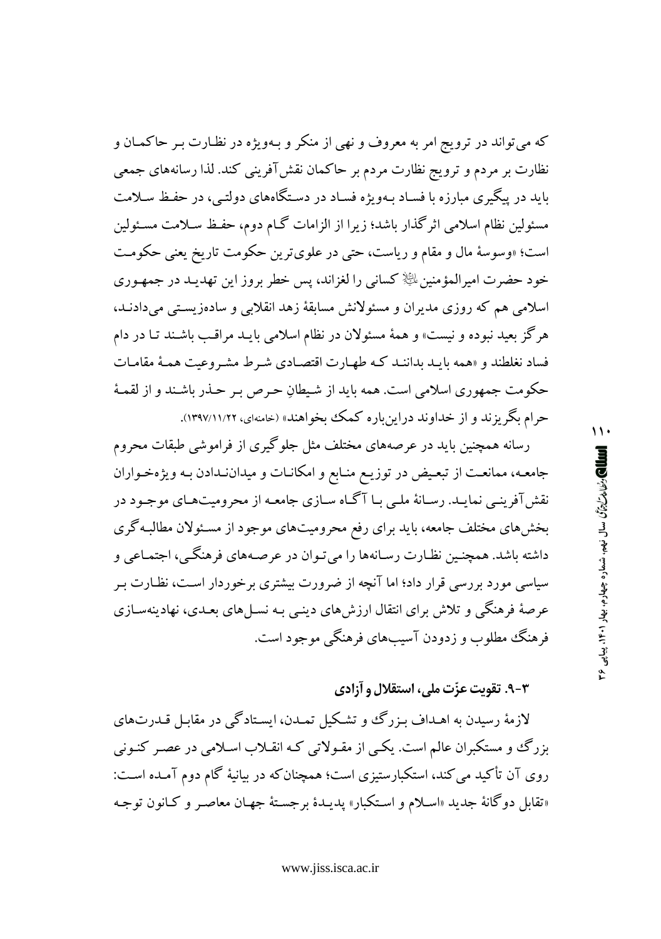که میتواند در ترویج امر به معروف و نهی از منکر و بـهویژه در نظـارت بـر حاکمـان و نظارت بر مردم و ترویج نظارت مردم بر حاکمان نقش آفرینی کند. لذا رسانههای جمعی باید در پیگیری مبارزه با فسـاد بـهویژه فسـاد در دسـتگاههای دولتـی، در حفـظ سـلامت مسئولین نظام اسلامی اثر گذار باشد؛ زیرا از الزامات گــام دوم، حفـظ سـلامت مسـئولین است؛ «وسوسهٔ مال و مقام و ریاست، حتی در علویترین حکومت تاریخ یعنی حکومت خود حضرت امیرالمؤمنین ﷺ کسانی را لغزاند، پس خطر بروز این تهدیـد در جمهـوری اسلامی هم که روزی مدیران و مسئولانش مسابقهٔ زهد انقلابی و سادهزیستی میدادنـد، هرگز بعید نبوده و نیست» و همهٔ مسئولان در نظام اسلامی بایـد مراقـب باشـند تـا در دام فساد نغلطند و «همه بایـد بداننـد کـه طهـارت اقتصـادی شـرط مشـروعیت همـهٔ مقامـات حکومت جمهوری اسلامی است. همه باید از شیطانِ حرص بـر حـذر باشـند و از لقمـهٔ حرام بگریزند و از خداوند دراین باره کمک بخواهند» (خامنهای، ۱۲۹۷/۱۱/۲۲).

رسانه همچنین باید در عرصههای مختلف مثل جلوگیری از فراموشی طبقات محروم جامعـه، ممانعـت از تبعـيض در توزيـع منـابع و امكانـات و ميداننـدادن بـه ويژهخـواران نقش آفرینبی نمایـد. رسـانهٔ ملـی بـا آگـاه سـازی جامعـه از محرومیتهـای موجـود در بخشهای مختلف جامعه، باید برای رفع محرومیتهای موجود از مسئولان مطالبه گری داشته باشد. همچنـین نظـارت رسـانهها را میتـوان در عرصـههای فرهنگـی، اجتمـاعی و سیاسی مورد بررسی قرار داد؛ اما آنچه از ضرورت بیشتری برخوردار است، نظـارت بـر عرصهٔ فرهنگی و تلاش برای انتقال ارزش های دینبی بـه نســل های بعـدی، نهادینهســازی فرهنگ مطلوب و زدودن آسیبهای فرهنگی موجود است.

۰۳-۹. تقویت عزّت ملی، استقلال و آزادی

لازمهٔ رسیدن به اهـداف بـزرگ و تشـکیل تمـدن، ایسـتادگی در مقابـل قـدرتهای بزرگ و مستکبران عالم است. یکپی از مقـولاتی کـه انقـلاب اسـلامی در عصـر کنـونی روی آن تأکید می کند، استکبارستیزی است؛ همچنان که در بیانیهٔ گام دوم آمـده اسـت: «تقابل دوگانهٔ جدید «اسلام و استکبار» پدیـدهٔ برجسـتهٔ جهـان معاصـر و کـانون توجـه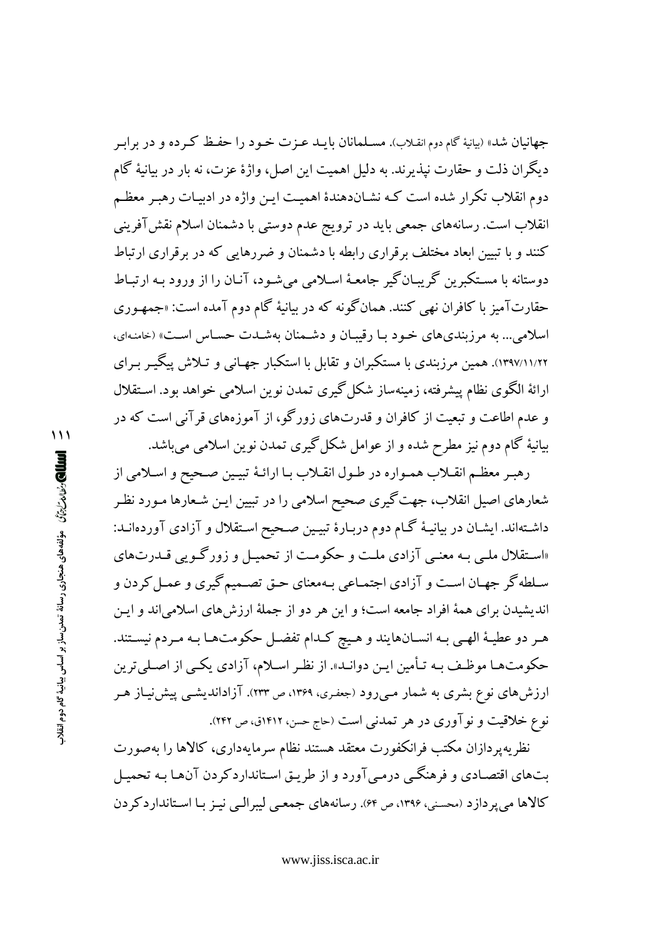جهانیان شد» (بیانیهٔ گام دوم انقـلاب). مســلمانان بایــد عــزت خــود را حفـظ کــرده و در برابـر ديگران ذلت و حقارت نيذيرند. به دليل اهميت اين اصل، واژهٔ عزت، نه بار در بيانيهٔ گام دوم انقلاب تكرار شده است كـه نشـاندهندهٔ اهميـت ايـن واژه در ادييـات رهبـر معظـم انقلاب است. رسانههای جمعی باید در ترویج عدم دوستی با دشمنان اسلام نقش آفرینی کنند و با تبیین ابعاد مختلف برقراری رابطه با دشمنان و ضررهایی که در برقراری ارتباط دوستانه با مستکبرین گریبـانگیر جامعـهٔ اسـلامی میشـود، آنـان را از ورود بـه ارتبـاط حقارتآمیز با کافران نهی کنند. همانگونه که در بیانیهٔ گام دوم آمده است: «جمهـوری اسلامي... به مرزبنديهاي خـود بـا رقيبـان و دشـمنان بهشـدت حسـاس اسـت» (خامنـهاي، ۱۲۹۷/۱۱/۲۲). همین مرزبندی با مستکبران و تقابل با استکبار جهـانی و تـلاش پیگیـر بـرای ارائهٔ الگوی نظام پیشرفته، زمینهساز شکل گیری تمدن نوین اسلامی خواهد بود. استقلال و عدم اطاعت و تبعیت از کافران و قدرتهای زورگو، از آموزههای قرآنی است که در بیانیهٔ گام دوم نیز مطرح شده و از عوامل شکل گیری تمدن نوین اسلامی می باشد.

رهبر معظم انقـلاب همـواره در طـول انقـلاب بـا ارائـهٔ تبيـين صـحيح و اسـلامي از شعارهای اصیل انقلاب، جهت گیری صحیح اسلامی را در تبیین ایـن شـعارها مـورد نظـر داشتهاند. ایشـان در بیانیـهٔ گـام دوم دربـارهٔ تبیـین صـحیح اسـتقلال و آزادی آوردهانـد: «استقلال ملبي بـه معنـي آزادي ملـت و حكومـت از تحميـل و زورگـويي قــدرتهاي سـلطه گر جهـان اسـت و آزادي اجتمـاعي بـهمعناي حـق تصـميمگيري و عمـل كردن و اندیشیدن برای همهٔ افراد جامعه است؛ و این هر دو از جملهٔ ارزشهای اسلامی اند و ایـن هـر دو عطيـهٔ الهـي بـه انســانهايند و هـيچ كـدام تفضــل حكومتهــا بـه مـردم نيســتند. حکومتها موظف بـه تـأمین ایـن دوانـد». از نظـر اسـلام، آزادي یکـي از اصـليترين ارزش۵های نوع بشری به شمار مـی(ود (جعفـری، ۱۳۶۹، ص ۲۳۳). آزاداندیشـی پیش'نیـاز هـر نوع خلاقیت و نوآوری در هر تمدنی است (حاج حسن، ۱۴۱۲ق، ص ۲۴۲).

نظريه يردازان مكتب فرانكفورت معتقد هستند نظام سرمايهدارى، كالاها را بهصورت ىتھاى اقتصادى و فرهنگے ،درمے آورد و از طريـق اسـتانداردكردن آنھـا بـه تحميـل کالاها می پر دازد (محسنی، ۱۳۹۶، ص ۶۴). رسانههای جمعی لیبرالبی نیز با استاندارد کردن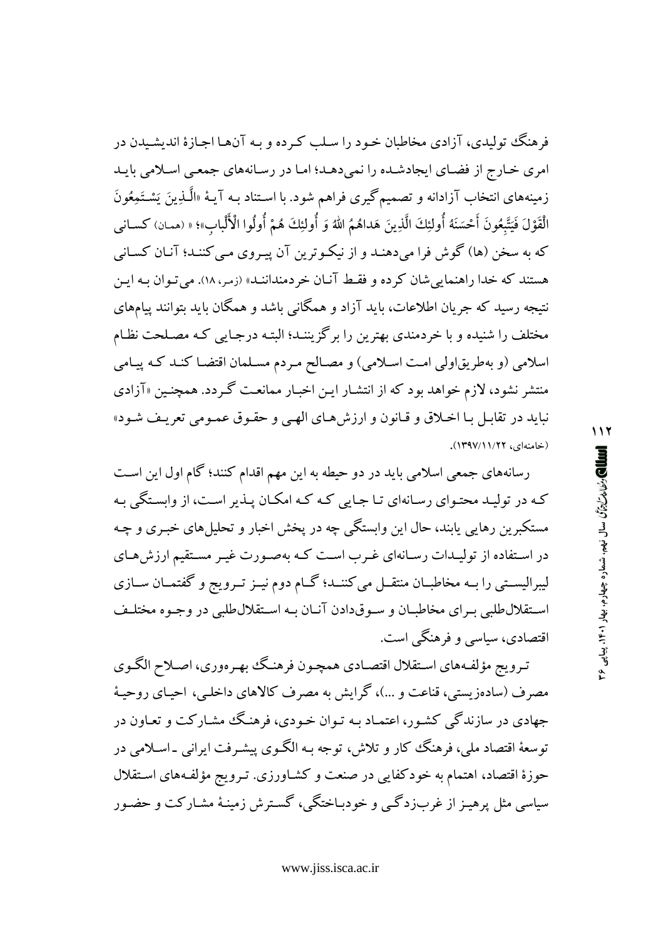فرهنگ تولیدی، آزادی مخاطبان خـود را سـلب کـرده و بـه آن@ا اجـازهٔ اندیشـیدن در امری خـارج از فضـای ایجادشـده را نمی دهـد؛ امـا در رسـانههای جمعـی اسـلامی بابـد زمینههای انتخاب آزادانه و تصمیمگیری فراهم شود. با اسـتناد بـه آیـهٔ «الَّــٰدِینَ یَسْــتَمِعُونَ الْقَوْلَ فَيَتَّبِعُونَ أَحْسَنَهُ أُولئِكَ الَّذِينَ هَداهُمُ اللهُ وَ أُولئِكَ هُمْ أُولُوا الْأَلْباب»؛ « (ممان) كسانى که به سخن (ها) گوش فرا میدهنـد و از نیکـوترین آن پیـروی مـی کننـد؛ آنـان کسـانی هستند که خدا راهنمایی شان کرده و فقط آنیان خردمنداننـد» (زمر، ۱۸). می تـوان بـه ایـن نتیجه رسید که جریان اطلاعات، باید آزاد و همگانبی باشد و همگان باید بتوانند پیامهای مختلف را شنیده و با خردمندی بهترین را برگزیننـد؛ البتـه درجـایی کـه مصـلحت نظـام اسلامی (و بهطریقاولی امت اسلامی) و مصالح مردم مسلمان اقتضا کنـد کـه پیـامی منتشر نشود، لازم خواهد بود که از انتشـار ایـن اخبـار ممانعـت گـردد. همچنـین «آزادی نبايد در تقابـل بـا اخـلاق و قـانون و ارزشهـاي الهـى و حقـوق عمـومى تعريـف شـود» (خامنهای، ۱۲۲/۱۱/۲۲).

رسانههای جمعی اسلامی باید در دو حیطه به این مهم اقدام کنند؛ گام اول این است کـه در تولیـد محتـوای رسـانهای تـا جـایی کـه کـه امکـان پـذیر اسـت، از وابسـتگی بـه مستکبرین رهایی پابند، حال این وابستگی چه در پخش اخبار و تحلیلهای خبـری و چـه در استفاده از تولیـدات رسـانهای غـرب اسـت کـه بهصـورت غیـر مسـتقیم ارزش هـای لیبرالیســتی را بــه مخاطبــان منتقــل می کننــد؛ گــام دوم نیــز تــرویج و گفتمــان ســازی استقلال طلبي بهراي مخاطبـان و سـوقدادن آنـان بـه اسـتقلال طلبي در وجـوه مختلـف اقتصادي، سياسي و فرهنگي است.

تـرويج مؤلفـههاي اسـتقلال اقتصـادي همچـون فرهنـگ بهـرهوري، اصـلاح الگـوي مصرف (سادهزیستی، قناعت و …)، گرایش به مصرف کالاهای داخلبی، احیـای روحیـهٔ جهادی در سازندگی کشـور، اعتمـاد بـه تـوان خـودی، فرهنـگ مشـار کت و تعـاون در توسعهٔ اقتصاد ملی، فرهنگ کار و تلاش، توجه بـه الگـوی پیشـرفت ایرانبی ـاسـلامی در حوزهٔ اقتصاد، اهتمام به خودکفایی در صنعت و کشـاورزی. تـرویج مؤلفـههای اسـتقلال سیاسی مثل پرهیـز از غربزدگـی و خودبـاختگی، گسـترش زمینـهٔ مشـارکت و حضـور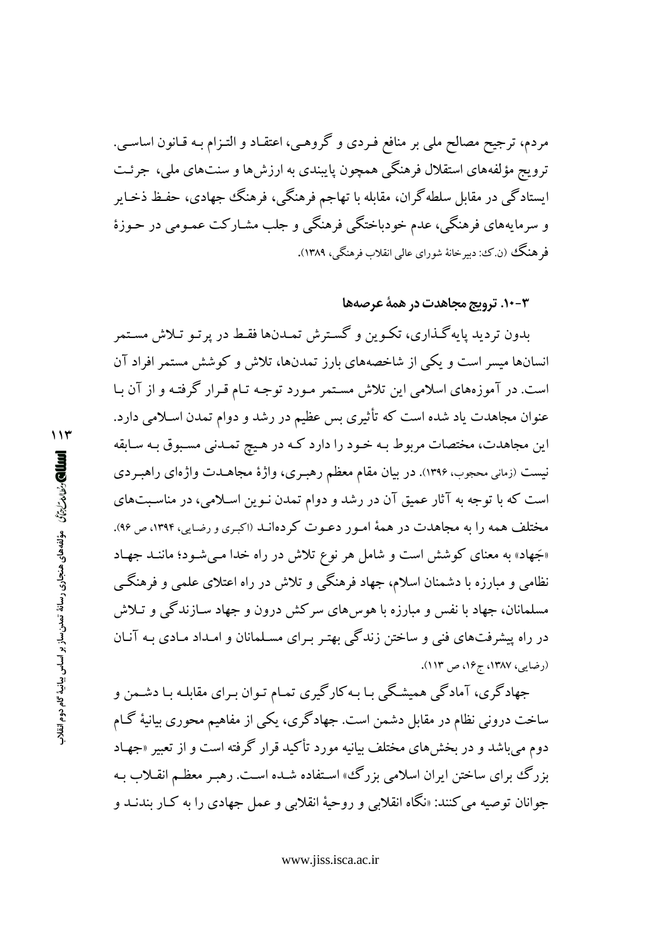مردم، ترجیح مصالح ملی بر منافع فـردی و گروهـی، اعتقـاد و التـزام بـه قـانون اساسـی. ترویج مؤلفههای استقلال فرهنگی همچون پایبندی به ارزشها و سنتهای ملی، جرئت ایستادگی در مقابل سلطهگران، مقابله با تهاجم فرهنگی، فرهنگ جهادی، حفـظ ذخـایر و سرمایههای فرهنگی، عدم خودباختگی فرهنگی و جلب مشـارکت عمـومی در حـوزهٔ فر هنگک (ن.ک؛ دبیر خانهٔ شورای عالمی انقلاب فرهنگی، ۱۳۸۹).

#### ۰-۱۰-۳ ترویج مجاهدت در همهٔ عرصهها

بدون تردید پایهگذاری، تکـوین و گسـترش تمـدنها فقـط در پر تـو تـلاش مسـتمر انسانها میسر است و یکی از شاخصههای بارز تمدنها، تلاش و کوشش مستمر افراد آن است. در آموزههای اسلامی این تلاش مستمر مـورد توجـه تـام قـرار گرفتـه و از آن بـا عنوان مجاهدت یاد شده است که تأثیری بس عظیم در رشد و دوام تمدن اسـلامی دارد. این مجاهدت، مختصات مربوط بـه خـود را دارد كـه در هـیچ تمـدنی مسـبوق بـه سـابقه نیست (زمانی محجوب، ۱۳۹۶). در بیان مقام معظم رهبـری، واژهٔ مجاهــدت واژهای راهبـردی است که با توجه به آثار عمیق آن در رشد و دوام تمدن نـوین اسـلامی، در مناسـبتهای مختلف همه را به مجاهدت در همهٔ امـور دعـوت كردهانـد (اكبـرى و رضـايي، ١٣٩٤، ص ٩۶). «جَهاد» به معنای کوشش است و شامل هر نوع تلاش در راه خدا مـیشـود؛ ماننـد جهـاد نظامی و مبارزه با دشمنان اسلام، جهاد فرهنگی و تلاش در راه اعتلای علمی و فرهنگـی مسلمانان، جهاد با نفس و مبارزه با هوس های سرکش درون و جهاد سـازندگی و تـلاش در راه پیشرفتهای فنی و ساختن زندگی بهتـر بـرای مسـلمانان و امـداد مـادی بـه آنـان (د ضایی، ۱۳۸۷، ج۱۶، ص ۱۱۳).

جهادگری، آمادگی همیشگی بـا بـه کارگیری تمـام تـوان بـرای مقابلـه بـا دشـمن و ساخت درونی نظام در مقابل دشمن است. جهادگری، یکی از مفاهیم محوری بیانیهٔ گـام دوم می باشد و در بخشهای مختلف بیانیه مورد تأکید قرار گرفته است و از تعبیر «جهـاد بزرگ برای ساختن ایران اسلامی بزرگ، استفاده شـده اسـت. رهبـر معظـم انقـلاب بـه جوانان توصيه مي كنند: «نگاه انقلابي و روحيهٔ انقلابي و عمل جهادي را به كـار بندنــد و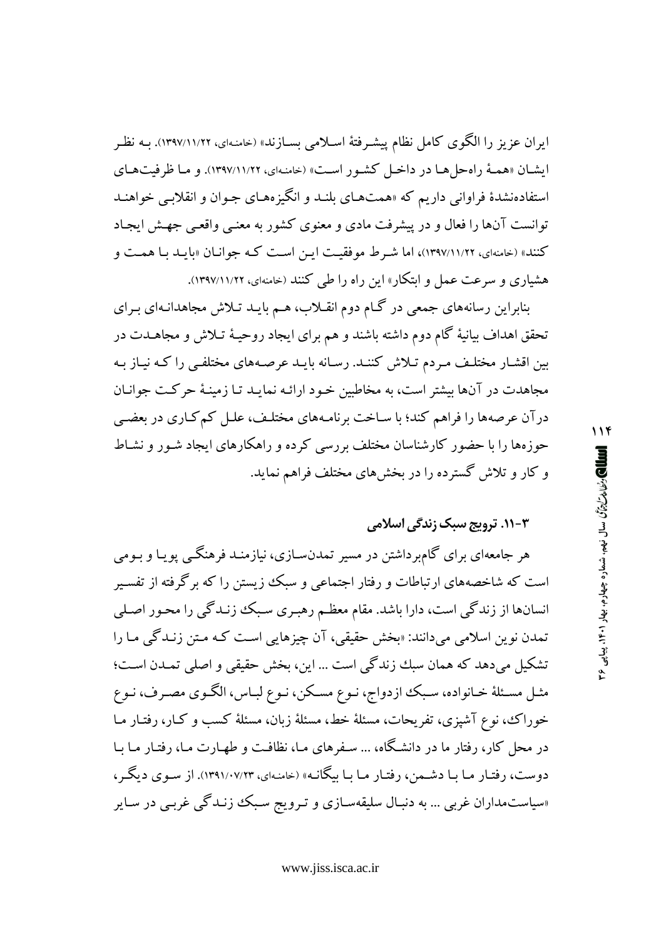ایران عزیز را الگوی کامل نظام پیشـرفتهٔ اسـلامی بسـازند» (خامنـهای، ۱۳۹۷/۱۱/۲۲). بـه نظـر ايشـان «همـهٔ راهحل هـا در داخـل كشـور اسـت» (خامنـهاي، ١٣٩٧/١١/٢٢). و مـا ظرفيتهـاي استفادهنشدهٔ فراوانی داریم که «همتهـای بلنـد و انگیزههـای جـوان و انقلابـی خواهنـد توانست آنها را فعال و در پیشرفت مادی و معنوی کشور به معنبی واقعبی جهش ایجاد کنند» (خامنهای، ۱۳۹۷/۱۱/۲۲)، اما شرط موفقیت این است که جوانان «بایـد بـا همـت و هشیاری و سرعت عمل و ابتکار» این راه را طی کنند (خامنهای، ۱۲۹۷/۱۱/۲۲).

بنابراین رسانههای جمعی در گـام دوم انقـلاب، هـم بایـد تـلاش مجاهدانـهای بـرای تحقق اهداف بیانیهٔ گام دوم داشته باشند و هم برای ایجاد روحیـهٔ تـلاش و مجاهــدت در بین اقشـار مختلـف مـردم تـلاش كننـد. رسـانه بايـد عرصـههاي مختلفـي را كـه نيـاز بـه مجاهدت در آنها بیشتر است، به مخاطبین خـود ارائـه نمایـد تـا زمینـهٔ حرکـت جوانـان درآن عرصهها را فراهم كند؛ با سـاخت برنامـههاي مختلـف، علـل كمكـاري در بعضـي حوزهها را با حضور کارشناسان مختلف بررسی کرده و راهکارهای ایجاد شـور و نشـاط و کار و تلاش گسترده را در بخشهای مختلف فراهم نماید.

## ۰۱-۳. ترویج سبک زند*گی* اسلامی

هر جامعهای برای گامبرداشتن در مسیر تمدنسـازی، نیازمنـد فرهنگـی پویـا و بـومی است که شاخصههای ارتباطات و رفتار اجتماعی و سبک زیستن را که برگرفته از تفسیر انسانها از زندگی است، دارا باشد. مقام معظـم رهبـری سـبک زنـدگی را محـور اصـلی تمدن نوین اسلامی میدانند: «بخش حقیقی، آن چیزهایی است کـه مـتن زنـدگی مـا را تشکیل میدهد که همان سبك زندگی است ... این، بخش حقیقی و اصلی تمـدن اسـت؛ مثـل مسـئلهٔ خـانواده، سـبک ازدواج، نـوع مسـکن، نـوع لبـاس، الگـوي مصـرف، نـوع خوراک، نوع آشپزی، تفریحات، مسئلهٔ خط، مسئلهٔ زبان، مسئلهٔ کسب و کـار، رفتـار مـا در محل کار، رفتار ما در دانشگاه، ... سـفرهای مـا، نظافـت و طهـارت مـا، رفتـار مـا بـا دوست، رفتـار مـا بـا دشـمن، رفتـار مـا بـا بيگانـه» (خامنـهاي، ۱۳۹۱/۰۷/۲۳). از سـوي ديگـر، «سیاستمداران غربی … به دنبـال سلیقهسـازی و تـرویج سـبکـُ زنـدگی غربـی در سـایر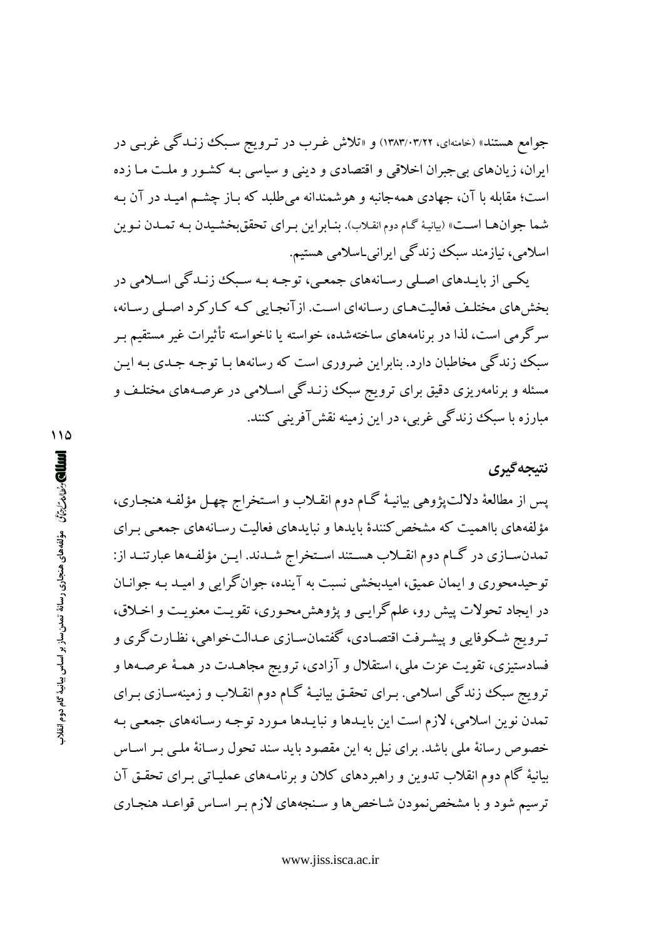جوامع هستند» (خامنهای، ۱۳۸۳/۰۳/۲۲) و «تلاش غـرب در تـرویج سـبک زنـدگی غربـی در ایران، زیانهای بی جبران اخلاقی و اقتصادی و دینی و سیاسی بـه کشـور و ملـت مـا زده است؛ مقابله با آن، جهادي همهجانبه و هوشمندانه مي طلبد كه بـاز چشـم اميـد در آن بـه شما جوانها است» (بيانيهٔ گـام دوم انقـلاب). بنـابراين بـراي تحققبخشـيدن بـه تمـدن نـوين اسلامی، نیازمند سبک زندگی ایرانی اسلامی هستیم.

یکـي از بايـدهاي اصـلي رسـانههاي جمعـي، توجـه بـه سـبک زنـدگي اسـلامي در بخش های مختلف فعالیتهای رسانهای است. از آنجایی که کـارکرد اصـلی رسـانه، سرگرمی است، لذا در برنامههای ساختهشده، خواسته یا ناخواسته تأثیرات غیر مستقیم بـر سبک زندگی مخاطبان دارد. بنابراین ضروری است که رسانهها بـا توجـه جـدی بـه ایـن مسئله و برنامهریزی دقیق برای ترویج سبک زنـدگی اسـلامی در عرصـههای مختلـف و مبارزه با سبک زندگی غربی، در این زمینه نقشآفرینی کنند.

# نتىجەگىرى

پس از مطالعهٔ دلالت پژوهی بیانیـهٔ گـام دوم انقـلاب و اسـتخراج چهـل مؤلفـه هنجـاری، مؤلفههای بااهمیت که مشخص کنندهٔ بایدها و نبایدهای فعالیت رسـانههای جمعـی بـرای تمدنسـازي در گـام دوم انقــلاب هسـتند اسـتخراج شــدند. ايــن مؤلفـهها عبارتنــد از: توحیدمحوری و ایمان عمیق، امیدبخشی نسبت به آینده، جوانگرایی و امیـد بـه جوانـان در ايجاد تحولات پيش رو، علمگرايبي و پژوهش محـوري، تقويـت معنويـت و اخـلاق، تـرويج شـكوفايي و پيشـرفت اقتصـادي، گفتمانسـازي عـدالتخواهي، نظـارت گري و فسادستیزی، تقویت عزت ملی، استقلال و آزادی، ترویج مجاهـدت در همـهٔ عرصـهها و ترویج سبک زندگی اسلامی. بـرای تحقـق بیانیـهٔ گـام دوم انقـلاب و زمینهسـازی بـرای تمدن نوین اسلامی، لازم است این بایـدها و نبایـدها مـورد توجـه رسـانههای جمعـی بـه خصوص رسانهٔ ملی باشد. برای نیل به این مقصود باید سند تحول رسـانهٔ ملـی بـر اسـاس بیانیهٔ گام دوم انقلاب تدوین و راهبردهای کلان و برنامـههای عملیـاتی بـرای تحقـق آن ترسیم شود و با مشخص نمودن شـاخص ها و سـنجههای لازم بـر اسـاس قواعـد هنجـاری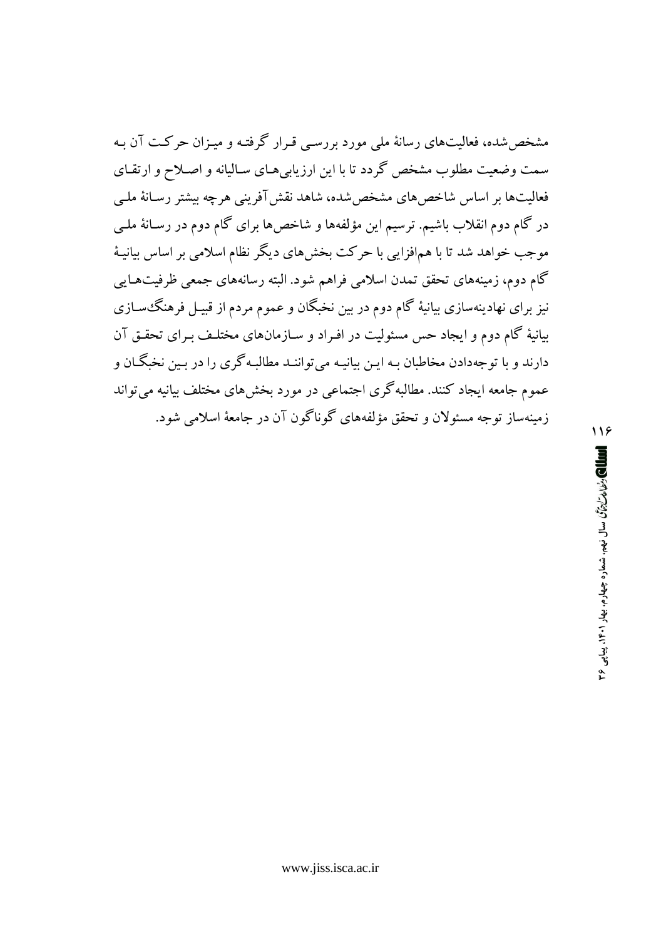مشخص شده، فعالیتهای رسانهٔ ملی مورد بررسبی قـرار گرفتـه و میـزان حرکــت آن بـه سمت وضعیت مطلوب مشخص گردد تا با این ارزیابی هـای سـالیانه و اصـلاح و ارتقـای فعالیتها بر اساس شاخصهای مشخص شده، شاهد نقش آفرینی هرچه بیشتر رسـانهٔ ملـی در گام دوم انقلاب باشیم. ترسیم این مؤلفهها و شاخص ها برای گام دوم در رسـانهٔ ملـی موجب خواهد شد تا با همافزایی با حرکت بخشهای دیگر نظام اسلامی بر اساس بیانیهٔ گام دوم، زمینههای تحقق تمدن اسلامی فراهم شود. البته رسانههای جمعی ظرفیتهـایی نیز برای نهادینهسازی بیانیهٔ گام دوم در بین نخبگان و عموم مردم از قبیـل فرهنگ،سـازی بیانیهٔ گام دوم و ایجاد حس مسئولیت در افـراد و سـازمانهای مختلـف بـرای تحقـق آن دارند و با توجهدادن مخاطبان بـه ایـن بیانیـه میتواننـد مطالبـهگری را در بـین نخبگـان و عموم جامعه ایجاد کنند. مطالبهگری اجتماعی در مورد بخشهای مختلف بیانیه می تواند زمينهساز توجه مسئولان و تحقق مؤلفههاي گوناگون آن در جامعهٔ اسلامي شود.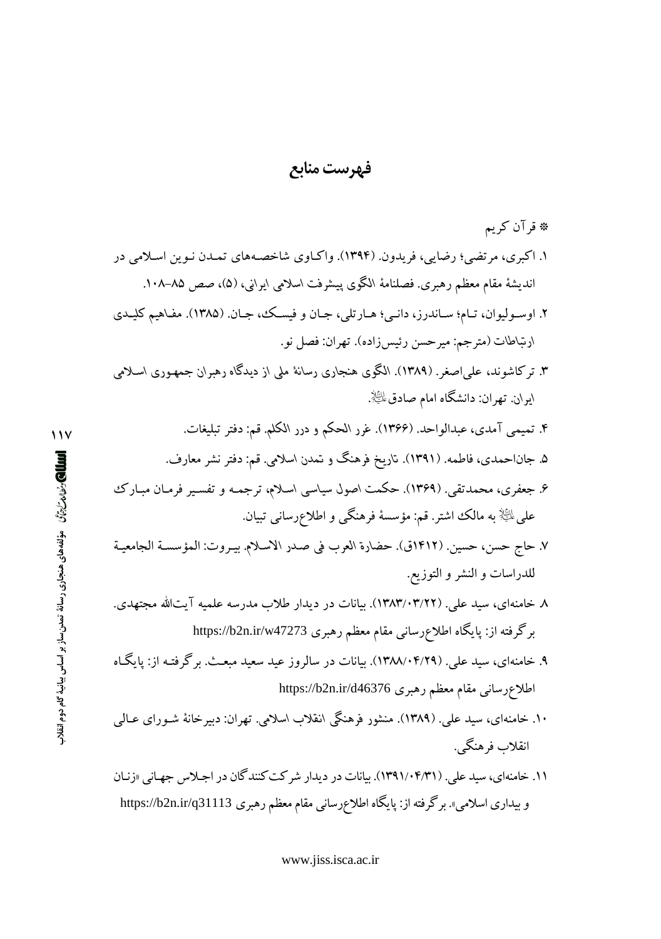#### فهرست منابع

\* قرآن كريم ۱. اکبری، مرتضی؛ رضایی، فریدون. (۱۳۹۴). واکـاوی شاخصـههای تمـدن نـوین اسـلامی در انديشة مقام معظم رهبري. فصلنامة الكوى پيشرفت اسلامي ايراني، (۵)، صص ۸۵–۱۰۸.

- ۲. اوسـوليوان، تـام؛ سـاندرز، دانـم؛ هـارتلي، جـان و فيسـك، جـان. (۱۳۸۵). مفـاهيم كليـدي ارتباطات (مترجم: ميرحسن رئيس;راده). تهران: فصل نو.
- ۳. ترکاشوند، علمیاصغر. (۱۳۸۹). الگوی هنجاری رسانهٔ ملی از دیدگاه رهبران جمهـوری اسـلامی ايران. تهران: دانشگاه امام صادق $\mathbb{R}^d$ .
	- ۴. تمیمی آمدی، عبدالواحد. (۱۳۶۶). غرر الحکم و درر الکلم. قم: دفتر تبلیغات.
	- ۵. جاناحمدی، فاطمه. (۱۳۹۱). تاریخ فرهنگ و تمدن اسلامی. قم: دفتر نشر معارف.
- ۶. جعفری، محمدتقی. (۱۳۶۹). حکمت اصول سیاسی اسلام، ترجمـه و تفسـیر فرمـان مبـارک على ﷺ به مالک اشتر. قم: مؤسسهٔ فرهنگی و اطلاعرسانی تبیان.
- ٧. حاج حسن، حسين. (١٤١٢ق). حضارة العرب في صدر الاسلام. بيـروت: المؤسسـة الجامعيـة للدراسات و النشر و التوزيع.
- ۸ خامنهای، سید علی. (۱۳۸۳/۰۳/۲۲). بیانات در دیدار طلاب مدرسه علمیه آیتالله مجتهدی. برگرفته از: پایگاه اطلاع رسانی مقام معظم رهبری https://b2n.ir/w47273
- ۹. خامنهای، سید علی. (۰۴/۲۹/۱۴۸۸/۰۴). بیانات در سالروز عید سعید مبعث. برگرفتـه از: یایگـاه اطلاع رسانی مقام معظم رهبری https://b2n.ir/d46376
- ۱۰. خامنهای، سید علی. (۱۳۸۹). منشور فرهنگی انقلاب اسلامی. تهران: دبیرخانهٔ شـورای عـالمی انقلاب فرهنگي.
- ۱۱. خامنهای، سید علی. (۱۳۹۱/۰۴/۳۱). بیانات در دیدار شرکت کنندگان در اجلاس جهانی «زنبان و بیداری اسلامی». برگرفته از: پایگاه اطلاعرسانی مقام معظم رهبری https://b2n.ir/q31113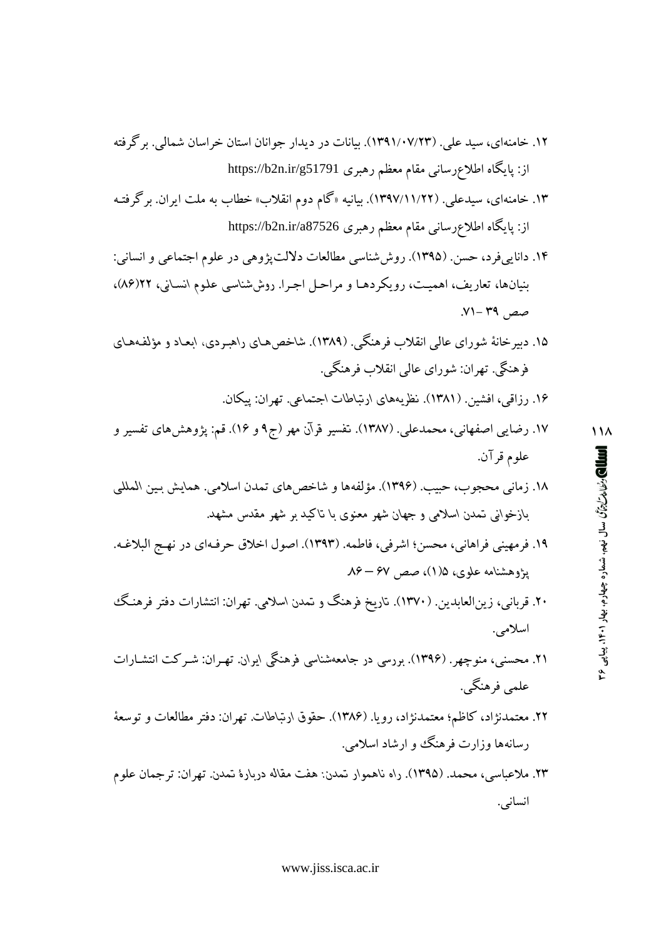- ۱۲. خامنهای، سید علی. (۱۳۹۱/۰۷/۲۳). بیانات در دیدار جوانان استان خراسان شمالی. برگرفته از: پایگاه اطلاعرسانی مقام معظم رهبری https://b2n.ir/g51791
- ۱۳. خامنهای، سیدعلی. (۱۲۹۷/۱۱/۲۲). بیانیه «گام دوم انقلاب» خطاب به ملت ایران. برگرفتـه از: پایگاه اطلاعرسانی مقام معظم رهبری https://b2n.ir/a87526
- ۱۴. دانايي فرد، حسن. (۱۳۹۵). روش شناسي مطالعات دلالت يژوهي در علوم اجتماعي و انساني: بنیانها، تعاریف، اهمیت، رویکردهـا و مراحـل اجـرا. روششناسـی علـوم انسـانی، ۱۲(۸۶)، صص ۳۹ -۷۱.
- ۱۵. دبیرخانهٔ شورای عالمی انقلاب فرهنگی. (۱۳۸۹). شاخصهای راهبردی، ابعـاد و مؤلفـههـای فرهنگی. تهران: شورای عالمی انقلاب فرهنگی.
	- ۱۶. رزاقی، افشین. (۱۳۸۱). نظریههای ارتباطات اجتماعی. تهران: ییکان.
- ۱۷. رضایی اصفهانی، محمدعلی. (۱۳۸۷). تفسیر قرآن مهر (ج۹ و ۱۶). قم: پژوهشهای تفسیر و علوم قرآن.
- ١٨. زماني محجوب، حبيب. (١٣٩۶). مؤلفهها و شاخصهاي تمدن اسلامي. همايش بـين المللي بازخوانی تمدن اسلامی و جهان شهر معنوی با تاکید بر شهر مقدس مشهد.
- ١٩. فرمهيني فراهاني، محسن؛ اشرفي، فاطمه. (١٣٩٣). اصول اخلاق حرفـهاي در نهـج البلاغـه. پژوهشنامه علوی، ۱/۵( )، صص ۶۷ – ۸۶
- ۲۰. قربانی، زینالعابدین. (۱۳۷۰). تاریخ فرهنگ و تمدن اسلامی. تهران: انتشارات دفتر فرهنگ اسلامى.
- ۲۱. محسنبی، منوچهر. (۱۳۹۶). بورسی در جامعهشناسی فرهنگی ایران. تهـران: شـرکت انتشـارات علمي فرهنگي.
- ۲۲. معتمدنژاد، کاظم؛ معتمدنژاد، رویا. (۱۳۸۶). حقوق ارتباطات. تهران: دفتر مطالعات و توسعهٔ رسانهها وزارت فرهنگ و ارشاد اسلامی.
- ٢٣. ملاعباسي، محمد. (١٣٩۵). راه ناهموار تمدن: هفت مقاله دربارهٔ تمدن. تهران: ترجمان علوم انسانى.

111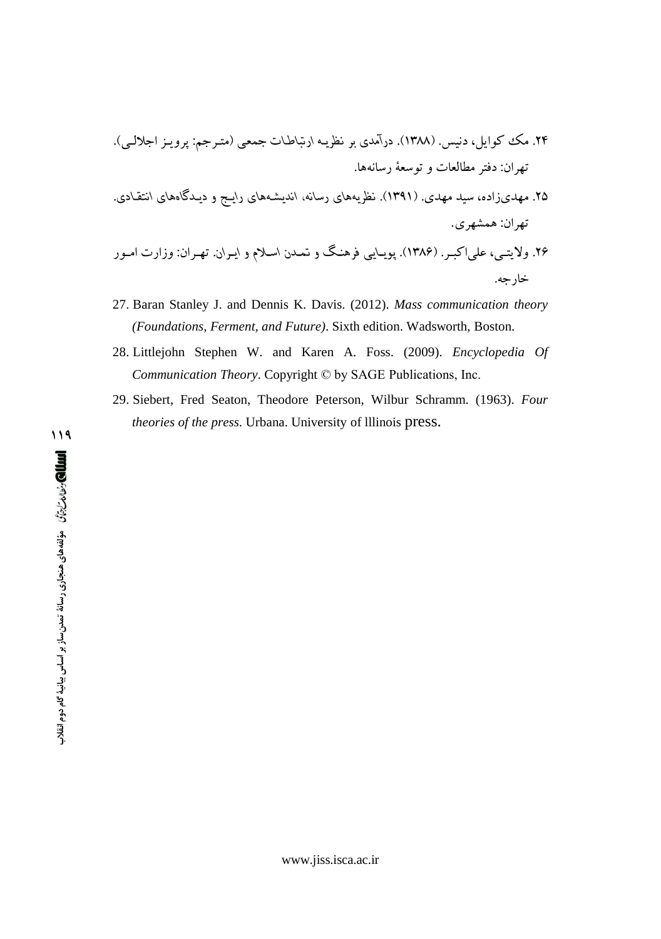۲۵. مهدیزاده، سید مهدی. (۱۳۹۱). نظریههای رسانه، اندیشـههای رایـج و دیـدگاههای انتقـادی. تهران: همشهري.

- 27. Baran Stanley J. and Dennis K. Davis. (2012). Mass communication theory (Foundations, Ferment, and Future). Sixth edition. Wadsworth, Boston.
- 28. Littlejohn Stephen W. and Karen A. Foss. (2009). Encyclopedia Of Communication Theory. Copyright © by SAGE Publications, Inc.
- 29. Siebert, Fred Seaton, Theodore Peterson, Wilbur Schramm. (1963). Four theories of the press. Urbana. University of Illinois press.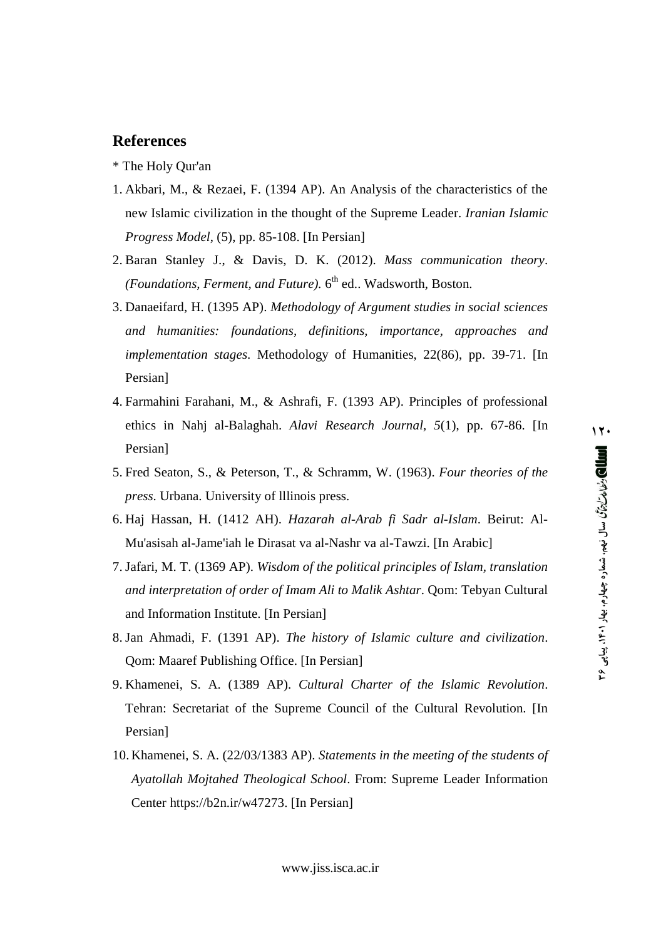#### **References**

- \* The Holy Qur'an
- 1. Akbari, M., & Rezaei, F. (1394 AP). An Analysis of the characteristics of the new Islamic civilization in the thought of the Supreme Leader. *Iranian Islamic Progress Model*, (5), pp. 85-108. [In Persian]
- 2. Baran Stanley J., & Davis, D. K. (2012). *Mass communication theory*. *(Foundations, Ferment, and Future).* 6 th ed.. Wadsworth, Boston.
- 3. Danaeifard, H. (1395 AP). *Methodology of Argument studies in social sciences and humanities: foundations, definitions, importance, approaches and implementation stages*. Methodology of Humanities, 22(86), pp. 39-71. [In Persian]
- 4. Farmahini Farahani, M., & Ashrafi, F. (1393 AP). Principles of professional ethics in Nahj al-Balaghah. *Alavi Research Journal, 5*(1), pp. 67-86. [In Persian]
- 5. Fred Seaton, S., & Peterson, T., & Schramm, W. (1963). *Four theories of the press*. Urbana. University of lllinois press.
- 6. Haj Hassan, H. (1412 AH). *Hazarah al-Arab fi Sadr al-Islam*. Beirut: Al- Mu'asisah al-Jame'iah le Dirasat va al-Nashr va al-Tawzi. [In Arabic]
- 7. Jafari, M. T. (1369 AP). *Wisdom of the political principles of Islam, translation and interpretation of order of Imam Ali to Malik Ashtar*. Qom: Tebyan Cultural and Information Institute. [In Persian]
- 8. Jan Ahmadi, F. (1391 AP). *The history of Islamic culture and civilization*. Qom: Maaref Publishing Office. [In Persian]
- 9. Khamenei, S. A. (1389 AP). *Cultural Charter of the Islamic Revolution*. Tehran: Secretariat of the Supreme Council of the Cultural Revolution. [In Persian]
- 10. Khamenei, S. A. (22/03/1383 AP). *Statements in the meeting of the students of Ayatollah Mojtahed Theological School*. From: Supreme Leader Information Center <https://b2n.ir/w47273.> [In Persian]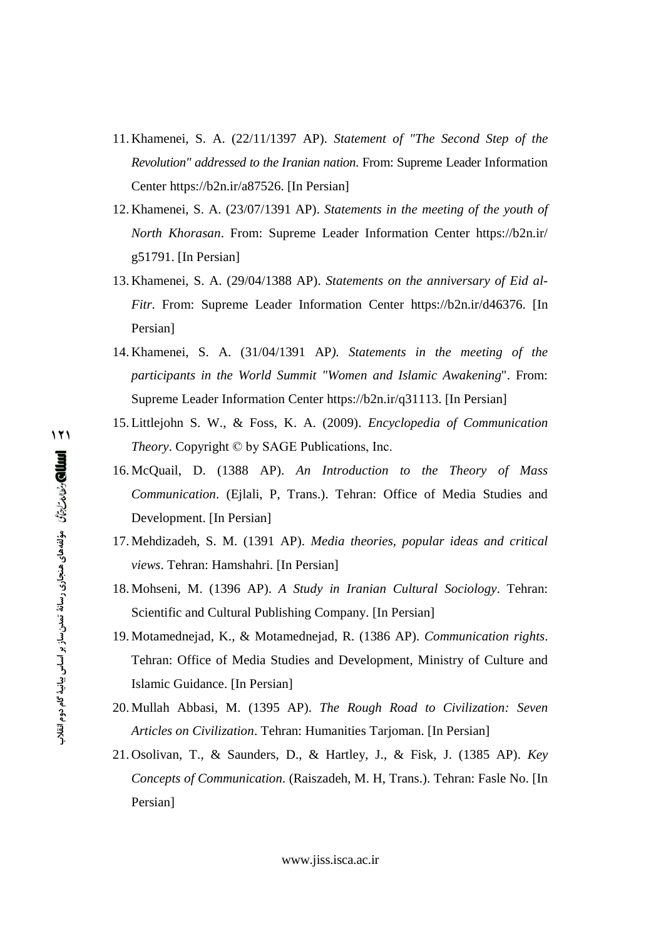- 11. Khamenei, S. A. (22/11/1397 AP). *Statement of "The Second Step of the Revolution" addressed to the Iranian nation*. From: Supreme Leader Information Center <https://b2n.ir/a87526.> [In Persian]
- 12. Khamenei, S. A. (23/07/1391 AP). *Statements in the meeting of the youth of North Khorasan*. From: Supreme Leader Information Center <https://b2n.ir/> g51791. [In Persian]
- 13. Khamenei, S. A. (29/04/1388 AP). *Statements on the anniversary of Eid al- Fitr*. From: Supreme Leader Information Center <https://b2n.ir/d46376.> [In Persian]
- 14. Khamenei, S. A. (31/04/1391 AP*). Statements in the meeting of the participants in the World Summit "Women and Islamic Awakening*". From: Supreme Leader Information Center <https://b2n.ir/q31113.> [In Persian]
- 15. Littlejohn S. W., & Foss, K. A. (2009). *Encyclopedia of Communication Theory*. Copyright © by SAGE Publications, Inc.
- 16. McQuail, D. (1388 AP). *An Introduction to the Theory of Mass Communication*. (Ejlali, P, Trans.). Tehran: Office of Media Studies and Development. [In Persian]
- 17. Mehdizadeh, S. M. (1391 AP). *Media theories, popular ideas and critical views*. Tehran: Hamshahri. [In Persian]
- 18. Mohseni, M. (1396 AP). *A Study in Iranian Cultural Sociology*. Tehran: Scientific and Cultural Publishing Company. [In Persian]
- 19. Motamednejad, K., & Motamednejad, R. (1386 AP). *Communication rights*. Tehran: Office of Media Studies and Development, Ministry of Culture and Islamic Guidance. [In Persian]
- 20. Mullah Abbasi, M. (1395 AP). *The Rough Road to Civilization: Seven Articles on Civilization*. Tehran: Humanities Tarjoman. [In Persian]
- 21. Osolivan, T., & Saunders, D., & Hartley, J., & Fisk, J. (1385 AP). *Key Concepts of Communication*. (Raiszadeh, M. H, Trans.). Tehran: Fasle No. [In Persian]